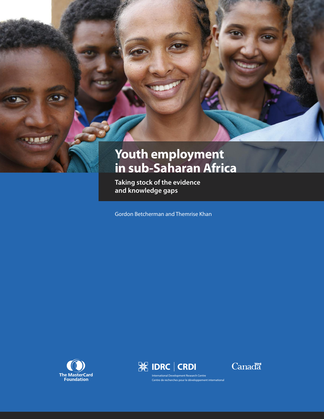

**Taking stock of the evidence and knowledge gaps**

Gordon Betcherman and Themrise Khan







International Development Research Centre Centre de recherches pour le développement international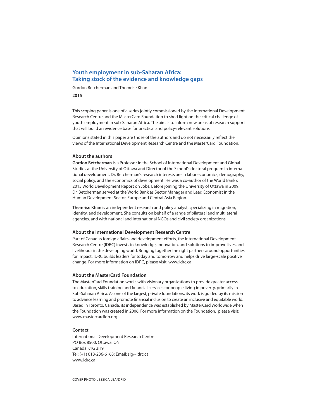### **Youth employment in sub-Saharan Africa: Taking stock of the evidence and knowledge gaps**

Gordon Betcherman and Themrise Khan

**2015**

This scoping paper is one of a series jointly commissioned by the International Development Research Centre and the MasterCard Foundation to shed light on the critical challenge of youth employment in sub-Saharan Africa. The aim is to inform new areas of research support that will build an evidence base for practical and policy-relevant solutions.

Opinions stated in this paper are those of the authors and do not necessarily reflect the views of the International Development Research Centre and the MasterCard Foundation.

#### **About the authors**

**Gordon Betcherman** is a Professor in the School of International Development and Global Studies at the University of Ottawa and Director of the School's doctoral program in international development. Dr. Betcherman's research interests are in labor economics, demography, social policy, and the economics of development. He was a co-author of the World Bank's 2013 World Development Report on Jobs. Before joining the University of Ottawa in 2009, Dr. Betcherman served at the World Bank as Sector Manager and Lead Economist in the Human Development Sector, Europe and Central Asia Region.

**Themrise Khan** is an independent research and policy analyst, specializing in migration, identity, and development. She consults on behalf of a range of bilateral and multilateral agencies, and with national and international NGOs and civil society organizations.

#### **About the International Development Research Centre**

Part of Canada's foreign affairs and development efforts, the International Development Research Centre (IDRC) invests in knowledge, innovation, and solutions to improve lives and livelihoods in the developing world. Bringing together the right partners around opportunities for impact, IDRC builds leaders for today and tomorrow and helps drive large-scale positive change. For more information on IDRC, please visit: www.idrc.ca

#### **About the MasterCard Foundation**

The MasterCard Foundation works with visionary organizations to provide greater access to education, skills training and financial services for people living in poverty, primarily in Sub-Saharan Africa. As one of the largest, private foundations, its work is guided by its mission to advance learning and promote financial inclusion to create an inclusive and equitable world. Based in Toronto, Canada, its independence was established by MasterCard Worldwide when the Foundation was created in 2006. For more information on the Foundation, please visit: www.mastercardfdn.org

#### **Contact**

International Development Research Centre PO Box 8500, Ottawa, ON Canada K1G 3H9 Tel: (+1) 613-236-6163; Email: sig@idrc.ca www.idrc.ca

COvER PHOTO: JESSICA LEA/DFID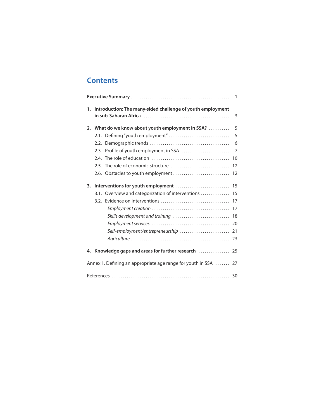# **Contents**

|    |                                                                 | $\overline{1}$ |
|----|-----------------------------------------------------------------|----------------|
|    | 1. Introduction: The many-sided challenge of youth employment   | 3              |
|    | 2. What do we know about youth employment in SSA?               | 5              |
|    | 2.1. Defining "youth employment"                                | 5              |
|    |                                                                 | 6              |
|    | 2.3. Profile of youth employment in SSA                         | $\overline{7}$ |
|    |                                                                 | 10             |
|    | 2.5. The role of economic structure                             | 12             |
|    | 2.6. Obstacles to youth employment                              | 12             |
| 3. |                                                                 |                |
|    | 3.1. Overview and categorization of interventions  15           |                |
|    |                                                                 |                |
|    |                                                                 |                |
|    |                                                                 |                |
|    |                                                                 |                |
|    | Self-employment/entrepreneurship                                | 21             |
|    |                                                                 |                |
|    | 4. Knowledge gaps and areas for further research  25            |                |
|    | Annex 1. Defining an appropriate age range for youth in SSA  27 |                |
|    |                                                                 |                |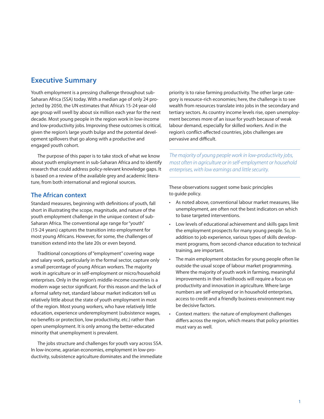## **Executive Summary**

Youth employment is a pressing challenge throughout sub-Saharan Africa (SSA) today. With a median age of only 24 projected by 2050, the UN estimates that Africa's 15-24 year-old age group will swell by about six million each year for the next decade. Most young people in the region work in low-income and low-productivity jobs. Improving these outcomes is critical, given the region's large youth bulge and the potential development spillovers that go along with a productive and engaged youth cohort.

The purpose of this paper is to take stock of what we know about youth employment in sub-Saharan Africa and to identify research that could address policy-relevant knowledge gaps. It is based on a review of the available grey and academic literature, from both international and regional sources.

## **The African context**

Standard measures, beginning with definitions of youth, fall short in illustrating the scope, magnitude, and nature of the youth employment challenge in the unique context of sub-Saharan Africa. The conventional age range for"youth" (15-24 years) captures the transition into employment for most young Africans. However, for some, the challenges of transition extend into the late 20s or even beyond.

Traditional conceptions of"employment" covering wage and salary work, particularly in the formal sector, capture only a small percentage of young African workers. The majority work in agriculture or in self-employment or micro/household enterprises. Only in the region's middle-income countries is a modern wage sector significant. For this reason and the lack of a formal safety net, standard labour market indicators tell us relatively little about the state of youth employment in most of the region. Most young workers, who have relatively little education, experience underemployment (subsistence wages, no benefits or protection, low productivity, etc.) rather than open unemployment. It is only among the better-educated minority that unemployment is prevalent.

The jobs structure and challenges for youth vary across SSA. In low-income, agrarian economies, employment in low-productivity, subsistence agriculture dominates and the immediate

priority is to raise farming productivity. The other large category is resource-rich economies; here, the challenge is to see wealth from resources translate into jobs in the secondary and tertiary sectors. As country income levels rise, open unemployment becomes more of an issue for youth because of weak labour demand, especially for skilled workers. And in the region's conflict-affected countries, jobs challenges are pervasive and difficult.

The majority of young people work in low-productivity jobs, most often in agriculture or in self-employment or household enterprises, with low earnings and little security.

These observations suggest some basic principles to guide policy.

- As noted above, conventional labour market measures, like unemployment, are often not the best indicators on which to base targeted interventions.
- Low levels of educational achievement and skills gaps limit the employment prospects for many young people. So, in addition to job experience, various types of skills development programs, from second-chance education to technical training, are important.
- The main employment obstacles for young people often lie outside the usual scope of labour market programming. Where the majority of youth work in farming, meaningful improvements in their livelihoods will require a focus on productivity and innovation in agriculture. Where large numbers are self-employed or in household enterprises, access to credit and a friendly business environment may be decisive factors.
- Context matters: the nature of employment challenges differs across the region, which means that policy priorities must vary as well.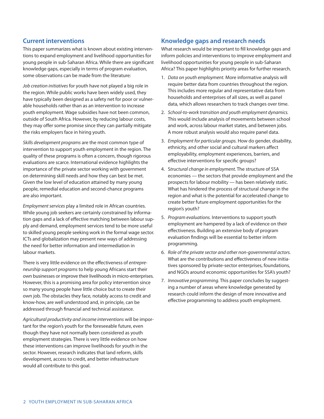## **Current interventions**

This paper summarizes what is known about existing interventions to expand employment and livelihood opportunities for young people in sub-Saharan Africa. While there are significant knowledge gaps, especially in terms of program evaluation, some observations can be made from the literature:

Job creation initiatives for youth have not played a big role in the region. While public works have been widely used, they have typically been designed as a safety net for poor or vulnerable households rather than as an intervention to increase youth employment. Wage subsidies have not been common, outside of South Africa. However, by reducing labour costs, they may offer some promise since they can partially mitigate the risks employers face in hiring youth.

Skills development programs are the most common type of intervention to support youth employment in the region. The quality of these programs is often a concern, though rigorous evaluations are scarce. International evidence highlights the importance of the private sector working with government on determining skill needs and how they can best be met. Given the low level of education attained by many young people, remedial education and second-chance programs are also important.

Employment services play a limited role in African countries. While young job seekers are certainly constrained by information gaps and a lack of effective matching between labour supply and demand, employment services tend to be more useful to skilled young people seeking work in the formal wage sector. ICTs and globalization may present new ways of addressing the need for better information and intermediation in labour markets.

There is very little evidence on the effectiveness of entrepreneurship support programs to help young Africans start their own businesses or improve their livelihoods in micro-enterprises. However, this is a promising area for policy intervention since so many young people have little choice but to create their own job. The obstacles they face, notably access to credit and know-how, are well understood and, in principle, can be addressed through financial and technical assistance.

Agricultural productivity and income interventions will be important for the region's youth for the foreseeable future, even though they have not normally been considered as youth employment strategies. There is very little evidence on how these interventions can improve livelihoods for youth in the sector. However, research indicates that land reform, skills development, access to credit, and better infrastructure would all contribute to this goal.

## **Knowledge gaps and research needs**

What research would be important to fill knowledge gaps and inform policies and interventions to improve employment and livelihood opportunities for young people in sub-Saharan Africa? This paper highlights priority areas for further research.

- 1. Data on youth employment. More informative analysis will require better data from countries throughout the region. This includes more regular and representative data from households and enterprises of all sizes, as well as panel data, which allows researchers to track changes over time.
- 2. School-to-work transition and youth employment dynamics. This would include analysis of movements between school and work, across labour market states, and between jobs. A more robust analysis would also require panel data.
- 3. Employment for particular groups. How do gender, disability, ethnicity, and other social and cultural markers affect employability, employment experiences, barriers, and effective interventions for specific groups?
- 4. Structural change in employment. The structure of SSA economies — the sectors that provide employment and the prospects for labour mobility — has been relatively static. What has hindered the process of structural change in the region and what is the potential for accelerated change to create better future employment opportunities for the region's youth?
- 5. Program evaluations. Interventions to support youth employment are hampered by a lack of evidence on their effectiveness. Building an extensive body of program evaluation findings will be essential to better inform programming.
- 6. Role of the private sector and other non-governmental actors. What are the contributions and effectiveness of new initiatives sponsored by private-sector enterprises, foundations, and NGOs around economic opportunities for SSA's youth?
- 7. Innovative programming. This paper concludes by suggesting a number of areas where knowledge generated by research could inform the design of more innovative and effective programming to address youth employment.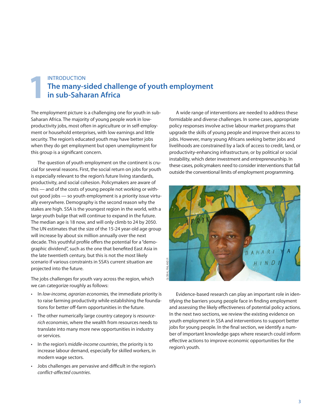# INTRODUCTION **The many-sided challenge of youth employment 1in The many-sided chall**<br> **1in sub-Saharan Africa**

The employment picture is a challenging one for youth in sub-Saharan Africa. The majority of young people work in lowproductivity jobs, most often in agriculture or in self-employment or household enterprises, with low earnings and little security. The region's educated youth may have better jobs when they do get employment but open unemployment for this group is a significant concern.

The question of youth employment on the continent is crucial for several reasons. First, the social return on jobs for youth is especially relevant to the region's future living standards, productivity, and social cohesion. Policymakers are aware of this — and of the costs of young people not working or without good jobs — so youth employment is a priority issue virtually everywhere. Demography is the second reason why the stakes are high. SSA is the youngest region in the world, with a large youth bulge that will continue to expand in the future. The median age is 18 now, and will only climb to 24 by 2050. The UN estimates that the size of the 15-24 year-old age group will increase by about six million annually over the next decade. This youthful profile offers the potential for a "demographic dividend", such as the one that benefited East Asia in the late twentieth century, but this is not the most likely scenario if various constraints in SSA's current situation are projected into the future.

The jobs challenges for youth vary across the region, which we can categorize roughly as follows:

- In low-income, agrarian economies, the immediate priority is to raise farming productivity while establishing the foundations for better off-farm opportunities in the future.
- The other numerically large country category is resourcerich economies, where the wealth from resources needs to translate into many more new opportunities in industry or services.
- In the region's middle-income countries, the priority is to increase labour demand, especially for skilled workers, in modern wage sectors.
- Jobs challenges are pervasive and difficult in the region's conflict-affected countries.

A wide range of interventions are needed to address these formidable and diverse challenges. In some cases, appropriate policy responses involve active labour market programs that upgrade the skills of young people and improve their access to jobs. However, many young Africans seeking better jobs and livelihoods are constrained by a lack of access to credit, land, or productivity-enhancing infrastructure, or by political or social instability, which deter investment and entrepreneurship. In these cases, policymakers need to consider interventions that fall outside the conventional limits of employment programming.



Evidence-based research can play an important role in identifying the barriers young people face in finding employment and assessing the likely effectiveness of potential policy actions. In the next two sections, we review the existing evidence on youth employment in SSA and interventions to support better jobs for young people. In the final section, we identify a number of important knowledge gaps where research could inform effective actions to improve economic opportunities for the region's youth.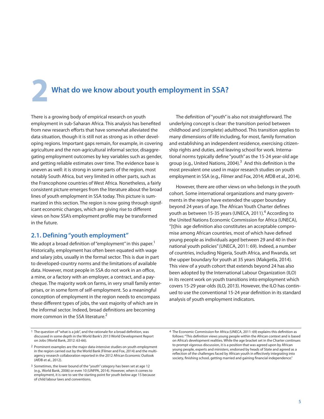**2 What do we know about youth employment in SSA?**

There is a growing body of empirical research on youth employment in sub-Saharan Africa. This analysis has benefited from new research efforts that have somewhat alleviated the data situation, though it is still not as strong as in other developing regions. Important gaps remain, for example, in covering agriculture and the non-agricultural informal sector, disaggregating employment outcomes by key variables such as gender, and getting reliable estimates over time. The evidence base is uneven as well: it is strong in some parts of the region, most notably South Africa, but very limited in other parts, such as the Francophone countries of West Africa. Nonetheless, a fairly consistent picture emerges from the literature about the broad lines of youth employment in SSA today. This picture is summarized in this section. The region is now going through significant economic changes, which are giving rise to different views on how SSA's employment profile may be transformed in the future.

## **2.1. Defining"youth employment"**

We adopt a broad definition of "employment" in this paper. $^{\rm 1}$ Historically, employment has often been equated with wage and salary jobs, usually in the formal sector. This is due in part to developed-country norms and the limitations of available data. However, most people in SSA do not work in an office, a mine, or a factory with an employer, a contract, and a paycheque. The majority work on farms, in very small family enterprises, or in some form of self-employment. So a meaningful conception of employment in the region needs to encompass these different types of jobs, the vast majority of which are in the informal sector. Indeed, broad definitions are becoming more common in the SSA literature. 2

The definition of "youth" is also not straightforward. The underlying concept is clear: the transition period between childhood and (complete) adulthood. This transition applies to many dimensions of life including, for most, family formation and establishing an independent residence, exercising citizenship rights and duties, and leaving school for work. International norms typically define "youth" as the 15-24 year-old age group (e.g., United Nations, 2004).<sup>3</sup> And this definition is the most prevalent one used in major research studies on youth employment in SSA (e.g., Filmer and Fox, 2014; AfDB et al., 2014).

However, there are other views on who belongs in the youth cohort. Some international organizations and many governments in the region have extended the upper boundary beyond 24 years of age. The African Youth Charter defines youth as between 15-35 years (UNECA, 2011). <sup>4</sup> According to the United Nations Economic Commission for Africa (UNECA), "[t]his age definition also constitutes an acceptable compromise among African countries, most of which have defined young people as individuals aged between 29 and 40 in their national youth policies"(UNECA, 2011: 69). Indeed, a number of countries, including Nigeria, South Africa, and Rwanda, set the upper boundary for youth at 35 years (Makgetla, 2014). This view of a youth cohort that extends beyond 24 has also been adopted by the International Labour Organization (ILO) in its recent work on youth transitions into employment which covers 15-29 year-olds (ILO, 2013). However, the ILO has continued to use the conventional 15-24 year definition in its standard analysis of youth employment indicators.

<sup>1</sup> The question of"what is a job", and the rationale for a broad definition, was discussed in some depth in the World Bank's 2013 World Development Report on Jobs (World Bank, 2012: 63-66).

<sup>2</sup> Prominent examples are the major data-intensive studies on youth employment in the region carried out by the World Bank (Filmer and Fox, 2014) and the multiagency research collaboration reported in the 2012 African Economic Outlook (AfDB et al., 2012).

<sup>3</sup> Sometimes, the lower bound of the "youth" category has been set at age 12 (e.g., World Bank, 2006) or even 10 (UNFPA, 2014). However, when it comes to employment, it is rare to see the starting point for youth below age 15 because of child labour laws and conventions.

<sup>4</sup> The Economic Commission for Africa (UNECA, 2011: 69) explains this definition as follows:"This definition views young people within the African context and is based on Africa's development realities. While the age bracket set in the Charter continues to prompt vigorous discussion, it is a position that was agreed upon by African young people, experts and ministers, endorsed by heads of State and agreed as a reflection of the challenges faced by African youth in effectively integrating into society, finishing school, getting married and gaining financial independence."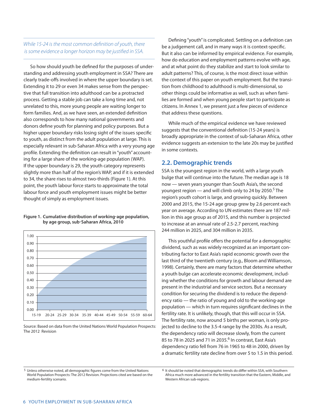## While 15-24 is the most common definition of youth, there is some evidence a longer horizon may be justified in SSA.

So how should youth be defined for the purposes of understanding and addressing youth employment in SSA? There are clearly trade-offs involved in where the upper boundary is set. Extending it to 29 or even 34 makes sense from the perspective that full transition into adulthood can be a protracted process. Getting a stable job can take a long time and, not unrelated to this, more young people are waiting longer to form families. And, as we have seen, an extended definition also corresponds to how many national governments and donors define youth for planning and policy purposes. But a higher upper boundary risks losing sight of the issues specific to youth, as distinct from the adult population at large. This is especially relevant in sub-Saharan Africa with a very young age profile. Extending the definition can result in"youth" accounting for a large share of the working-age population (WAP). If the upper boundary is 29, the youth category represents slightly more than half of the region's WAP, and if it is extended to 34, the share rises to almost two-thirds (Figure 1). At this point, the youth labour force starts to approximate the total labour force and youth employment issues might be better thought of simply as employment issues.

#### **Figure 1. Cumulative distribution of working-age population, by age group, sub-Saharan Africa, 2010**



Source: Based on data from the United Nations World Population Prospects: The 2012 Revision

Defining"youth"is complicated. Settling on a definition can be a judgement call, and in many ways it is context-specific. But it also can be informed by empirical evidence. For example, how do education and employment patterns evolve with age, and at what point do they stabilize and start to look similar to adult patterns? This, of course, is the most direct issue within the context of this paper on youth employment. But the transition from childhood to adulthood is multi-dimensional, so other things could be informative as well, such as when families are formed and when young people start to participate as citizens. In Annex 1, we present just a few pieces of evidence that address these questions.

While much of the empirical evidence we have reviewed suggests that the conventional definition (15-24 years) is broadly appropriate in the context of sub-Saharan Africa, other evidence suggests an extension to the late 20s may be justified in some contexts.

## **2.2. Demographic trends**

SSA is the youngest region in the world, with a large youth bulge that will continue into the future. The median age is 18 now — seven years younger than South Asia's, the second youngest region — and will climb only to 24 by 2050.<sup>5</sup> The region's youth cohort is large, and growing quickly. Between 2000 and 2015, the 15-24 age group grew by 2.6 percent each year on average. According to UN estimates there are 187 million in this age group as of 2015, and this number is projected to increase at an annual rate of 2.5-2.7 percent, reaching 244 million in 2025, and 304 million in 2035.

This youthful profile offers the potential for a demographic dividend, such as was widely recognized as an important contributing factor to East Asia's rapid economic growth over the last third of the twentieth century (e.g., Bloom and Williamson, 1998). Certainly, there are many factors that determine whether a youth bulge can accelerate economic development, including whether the conditions for growth and labour demand are present in the industrial and service sectors. But a necessary condition for securing the dividend is to reduce the dependency ratio — the ratio of young and old to the working-age population — which in turn requires significant declines in the fertility rate. It is unlikely, though, that this will occur in SSA. The fertility rate, now around 5 births per woman, is only projected to decline to the 3.5-4 range by the 2030s. As a result, the dependency ratio will decrease slowly, from the current 85 to 78 in 2025 and 71 in 2035. <sup>6</sup> In contrast, East Asia's dependency ratio fell from 76 in 1965 to 48 in 2000, driven by a dramatic fertility rate decline from over 5 to 1.5 in this period.

<sup>5</sup> Unless otherwise noted, all demographic figures come from the United Nations World Population Prospects: The 2012 Revision. Projections cited are based on the medium-fertility scenario.

<sup>6</sup> It should be noted that demographic trends do differ within SSA, with Southern Africa much more advanced in the fertility transition that the Eastern, Middle, and Western African sub-regions.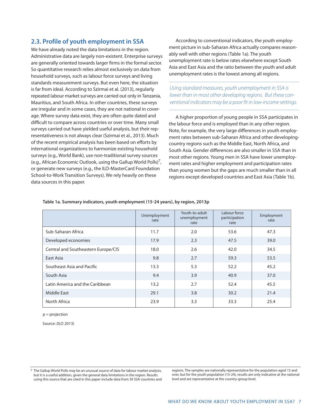## **2.3. Profile of youth employment in SSA**

We have already noted the data limitations in the region. Administrative data are largely non-existent. Enterprise surveys are generally oriented towards larger firms in the formal sector. So quantitative research relies almost exclusively on data from household surveys, such as labour force surveys and living standards measurement surveys. But even here, the situation is far from ideal. According to Szirmai et al. (2013), regularly repeated labour market surveys are carried out only in Tanzania, Mauritius, and South Africa. In other countries, these surveys are irregular and in some cases, they are not national in coverage. Where survey data exist, they are often quite dated and difficult to compare across countries or over time. Many small surveys carried out have yielded useful analysis, but their representativeness is not always clear (Szirmai et al., 2013). Much of the recent empirical analysis has been based on efforts by international organizations to harmonize existing household surveys (e.g., World Bank), use non-traditional survey sources (e.g., African Economic Outlook, using the Gallup World Polls)<sup>7</sup>, or generate new surveys (e.g., the ILO-MasterCard Foundation School-to-Work Transition Surveys). We rely heavily on these data sources in this paper.

According to conventional indicators, the youth employment picture in sub-Saharan Africa actually compares reasonably well with other regions (Table 1a). The youth unemployment rate is below rates elsewhere except South Asia and East Asia and the ratio between the youth and adult unemployment rates is the lowest among all regions.

Using standard measures, youth unemployment in SSA is lower than in most other developing regions. But these conventional indicators may be a poor fit in low-income settings.

A higher proportion of young people in SSA participates in the labour force and is employed than in any other region. Note, for example, the very large differences in youth employment rates between sub-Saharan Africa and other developingcountry regions such as the Middle East, North Africa, and South Asia. Gender differences are also smaller in SSA than in most other regions. Young men in SSA have lower unemployment rates and higher employment and participation rates than young women but the gaps are much smaller than in all regions except developed countries and East Asia (Table 1b).

|                                     | Unemployment<br>rate | Youth-to-adult<br>unemployment<br>rate | Labour force<br>participation<br>rate | Employment<br>rate |
|-------------------------------------|----------------------|----------------------------------------|---------------------------------------|--------------------|
| Sub-Saharan Africa                  | 11.7                 | 2.0                                    | 53.6                                  | 47.3               |
| Developed economies                 | 17.9                 | 2.3<br>47.5                            |                                       | 39.0               |
| Central and Southeastern Europe/CIS | 18.0                 | 2.6                                    | 42.0                                  | 34.5               |
| East Asia                           | 9.8                  | 2.7                                    | 59.3                                  | 53.5               |
| Southeast Asia and Pacific          | 13.3                 | 5.3                                    | 52.2                                  | 45.2               |
| South Asia                          | 9.4                  | 3.9                                    | 40.9                                  | 37.0               |
| Latin America and the Caribbean     | 13.2                 | 2.7                                    | 52.4                                  | 45.5               |
| <b>Middle East</b>                  | 29.1                 | 3.8                                    | 30.2                                  | 21.4               |
| North Africa                        | 23.9                 | 3.3                                    | 33.3                                  | 25.4               |

#### **Table 1a. Summary indicators, youth employment (15-24 years), by region, 2013p**

 $p = projection$ 

Source: (ILO 2013)

regions. The samples are nationally representative for the population aged 15 and over, but for the youth population (15-24), results are only indicative at the national level and are representative at the country-group level.

<sup>7</sup> The Gallup World Polls may be an unusual source of data for labour market analysis, but it is a useful addition, given the general data limitations in the region. Results using this source that are cited in this paper include data from 39 SSA countries and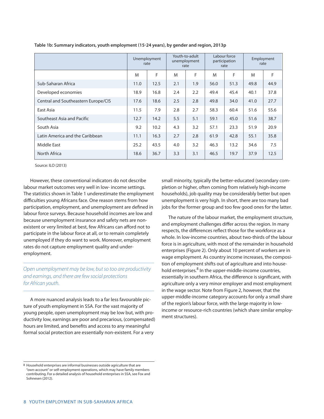|                                     | Unemployment<br>rate |      | Youth-to-adult<br>unemployment<br>rate |     | Labour force<br>participation<br>rate |      | Employment<br>rate |      |
|-------------------------------------|----------------------|------|----------------------------------------|-----|---------------------------------------|------|--------------------|------|
|                                     | M                    | F    | M                                      | F   | M                                     | F    | M                  | F    |
| Sub-Saharan Africa                  | 11.0                 | 12.5 | 2.1                                    | 1.9 | 56.0                                  | 51.3 | 49.8               | 44.9 |
| Developed economies                 | 18.9                 | 16.8 | 2.4                                    | 2.2 | 49.4                                  | 45.4 | 40.1               | 37.8 |
| Central and Southeastern Europe/CIS | 17.6                 | 18.6 | 2.5                                    | 2.8 | 49.8                                  | 34.0 | 41.0               | 27.7 |
| East Asia                           | 11.5                 | 7.9  | 2.8                                    | 2.7 | 58.3                                  | 60.4 | 51.6               | 55.6 |
| Southeast Asia and Pacific          | 12.7                 | 14.2 | 5.5                                    | 5.1 | 59.1                                  | 45.0 | 51.6               | 38.7 |
| South Asia                          | 9.2                  | 10.2 | 4.3                                    | 3.2 | 57.1                                  | 23.3 | 51.9               | 20.9 |
| Latin America and the Caribbean     | 11.1                 | 16.3 | 2.7                                    | 2.8 | 61.9                                  | 42.8 | 55.1               | 35.8 |
| Middle East                         | 25.2                 | 43.5 | 4.0                                    | 3.2 | 46.3                                  | 13.2 | 34.6               | 7.5  |
| North Africa                        | 18.6                 | 36.7 | 3.3                                    | 3.1 | 46.5                                  | 19.7 | 37.9               | 12.5 |

**Table 1b: Summary indicators, youth employment (15-24 years), by gender and region, 2013p**

Source: ILO (2013)

However, these conventional indicators do not describe labour market outcomes very well in low- income settings. The statistics shown in Table 1 underestimate the employment difficulties young Africans face. One reason stems from how participation, employment, and unemployment are defined in labour force surveys. Because household incomes are low and because unemployment insurance and safety nets are nonexistent or very limited at best, few Africans can afford not to participate in the labour force at all, or to remain completely unemployed if they do want to work. Moreover, employment rates do not capture employment quality and underemployment.

Open unemployment may be low, but so too are productivity and earnings, and there are few social protections for African youth.

A more nuanced analysis leads to a far less favourable picture of youth employment in SSA. For the vast majority of young people, open unemployment may be low but, with productivity low, earnings are poor and precarious, (compensated) hours are limited, and benefits and access to any meaningful formal social protection are essentially non-existent. For a very

small minority, typically the better-educated (secondary completion or higher, often coming from relatively high-income households), job quality may be considerably better but open unemployment is very high. In short, there are too many bad jobs for the former group and too few good ones for the latter.

The nature of the labour market, the employment structure, and employment challenges differ across the region. In many respects, the differences reflect those for the workforce as a whole. In low-income countries, about two-thirds of the labour force is in agriculture, with most of the remainder in household enterprises (Figure 2). Only about 10 percent of workers are in wage employment. As country income increases, the composition of employment shifts out of agriculture and into household enterprises.<sup>8</sup> In the upper-middle-income countries, essentially in southern Africa, the difference is significant, with agriculture only a very minor employer and most employment in the wage sector. Note from Figure 2, however, that the upper-middle-income category accounts for only a small share of the region's labour force, with the large majority in lowincome or resource-rich countries (which share similar employment structures).

<sup>8</sup> Household enterprises are informal businesses outside agriculture that are "own-account"or self-employment operations, which may have family members contributing. For a detailed analysis of household enterprises in SSA, see Fox and Sohnesen (2012).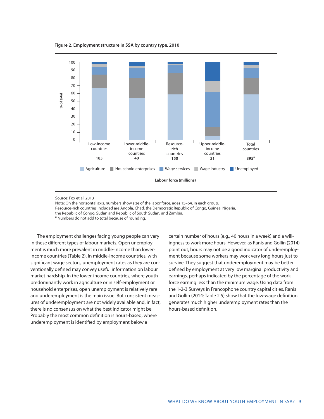**Figure 2. Employment structure in SSA by country type, 2010**



Source: Fox et al. 2013

Note: On the horizontal axis, numbers show size of the labor force, ages 15–64, in each group. Resource-rich countries included are Angola, Chad, the Democratic Republic of Congo, Guinea, Nigeria, the Republic of Congo, Sudan and Republic of South Sudan, and Zambia.<br><sup>a</sup> Numbers do not add to total because of rounding.

The employment challenges facing young people can vary in these different types of labour markets. Open unemployment is much more prevalent in middle-income than lowerincome countries (Table 2). In middle-income countries, with significant wage sectors, unemployment rates as they are conventionally defined may convey useful information on labour market hardship. In the lower-income countries, where youth predominantly work in agriculture or in self-employment or household enterprises, open unemployment is relatively rare and underemployment is the main issue. But consistent measures of underemployment are not widely available and, in fact, there is no consensus on what the best indicator might be. Probably the most common definition is hours-based, where underemployment is identified by employment below a

certain number of hours (e.g., 40 hours in a week) and a willingnessto work more hours. However, as Ranis and Gollin (2014) point out, hours may not be a good indicator of underemployment because some workers may work very long hours just to survive. They suggest that underemployment may be better defined by employment at very low marginal productivity and earnings, perhaps indicated by the percentage of the workforce earning less than the minimum wage. Using data from the 1-2-3 Surveys in Francophone country capital cities, Ranis and Gollin (2014: Table 2.5) show that the low-wage definition generates much higher underemployment rates than the hours-based definition.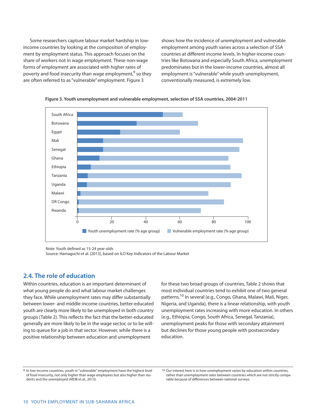Some researchers capture labour market hardship in lowincome countries by looking at the composition of employment by employment status. This approach focuses on the share of workers not in wage employment. These non-wage forms of employment are associated with higher rates of poverty and food insecurity than wage employment,<sup>9</sup> so they are often referred to as"vulnerable" employment. Figure 3

shows how the incidence of unemployment and vulnerable employment among youth varies across a selection of SSA countries at different income levels. In higher-income countries like Botswana and especially South Africa, unemployment predominates but in the lower-income countries, almost all employment is"vulnerable"while youth unemployment, conventionally measured, is extremely low.



**Figure 3. Youth unemployment and vulnerable employment, selection of SSA countries, 2004-2011**

Note: Youth defined as 15-24 year-olds

Source: Hamaguchi et al. (2013), based on ILO Key Indicators of the Labour Market

## **2.4. The role of education**

Within countries, education is an important determinant of what young people do and what labour market challenges they face. While unemployment rates may differ substantially between lower- and middle-income countries, better-educated youth are clearly more likely to be unemployed in both country groups (Table 2). This reflects the fact that the better-educated generally are more likely to be in the wage sector, or to be willing to queue for a job in that sector. However, while there is a positive relationship between education and unemployment

for these two broad groups of countries, Table 2 shows that most individual countries tend to exhibit one of two general patterns.<sup>10</sup> In several (e.g., Congo, Ghana, Malawi, Mali, Niger, Nigeria, and Uganda), there is a linear relationship, with youth unemployment rates increasing with more education. In others (e.g., Ethiopia, Congo, South Africa, Senegal, Tanzania), unemployment peaks for those with secondary attainment but declines for those young people with postsecondary education.

<sup>9</sup> In low-income countries, youth in "vulnerable" employment have the highest level of food insecurity, not only higher than wage employees but also higher than students and the unemployed (AfDB et al., 2013).

<sup>10</sup> Our interest here is in how unemployment varies by education within countries, rather than unemployment rates between countries which are not strictly comparable because of differences between national surveys.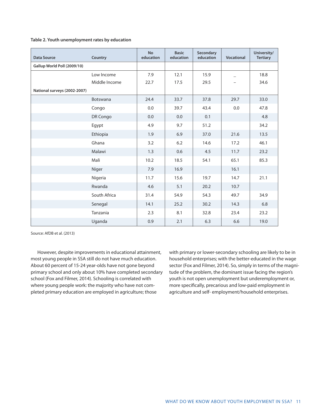#### **Table 2. Youth unemployment rates by education**

| <b>Data Source</b>           | Country       | <b>No</b><br>education | <b>Basic</b><br>education | Secondary<br>education | <b>Vocational</b> | University/<br><b>Tertiary</b> |
|------------------------------|---------------|------------------------|---------------------------|------------------------|-------------------|--------------------------------|
| Gallup World Poll (2009/10)  |               |                        |                           |                        |                   |                                |
|                              | Low Income    | 7.9                    | 12.1                      | 15.9                   |                   | 18.8                           |
|                              | Middle Income | 22.7                   | 17.5                      | 29.5                   |                   | 34.6                           |
| National surveys (2002-2007) |               |                        |                           |                        |                   |                                |
|                              | Botswana      | 24.4                   | 33.7                      | 37.8                   | 29.7              | 33.0                           |
|                              | Congo         | 0.0                    | 39.7                      | 43.4                   | 0.0               | 47.8                           |
|                              | DR Congo      | 0.0                    | 0.0                       | 0.1                    |                   | 4.8                            |
|                              | Egypt         | 4.9                    | 9.7                       | 51.2                   |                   | 34.2                           |
|                              | Ethiopia      | 1.9                    | 6.9                       | 37.0                   | 21.6              | 13.5                           |
|                              | Ghana         | 3.2                    | 6.2                       | 14.6                   | 17.2              | 46.1                           |
|                              | Malawi        | 1.3                    | 0.6                       | 4.5                    | 11.7              | 23.2                           |
|                              | Mali          | 10.2                   | 18.5                      | 54.1                   | 65.1              | 85.3                           |
|                              | Niger         | 7.9                    | 16.9                      |                        | 16.1              |                                |
|                              | Nigeria       | 11.7                   | 15.6                      | 19.7                   | 14.7              | 21.1                           |
|                              | Rwanda        | 4.6                    | 5.1                       | 20.2                   | 10.7              |                                |
|                              | South Africa  | 31.4                   | 54.9                      | 54.3                   | 49.7              | 34.9                           |
|                              | Senegal       | 14.1                   | 25.2                      | 30.2                   | 14.3              | 6.8                            |
|                              | Tanzania      | 2.3                    | 8.1                       | 32.8                   | 23.4              | 23.2                           |
|                              | Uganda        | 0.9                    | 2.1                       | 6.3                    | 6.6               | 19.0                           |

Source: AfDB et al. (2013)

However, despite improvements in educational attainment, most young people in SSA still do not have much education. About 60 percent of 15-24 year-olds have not gone beyond primary school and only about 10% have completed secondary school (Fox and Filmer, 2014). Schooling is correlated with where young people work: the majority who have not completed primary education are employed in agriculture; those

with primary or lower-secondary schooling are likely to be in household enterprises; with the better-educated in the wage sector (Fox and Filmer, 2014). So, simply in terms of the magnitude of the problem, the dominant issue facing the region's youth is not open unemployment but underemployment or, more specifically, precarious and low-paid employment in agriculture and self- employment/household enterprises.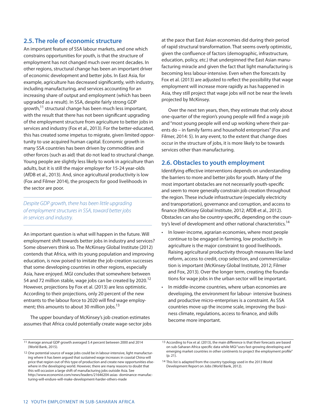## **2.5. The role of economic structure**

An important feature of SSA labour markets, and one which constrains opportunities for youth, is that the structure of employment has not changed much over recent decades. In other regions, structural change has been an important driver of economic development and better jobs. In East Asia, for example, agriculture has decreased significantly, with industry, including manufacturing, and services accounting for an increasing share of output and employment (which has been upgraded as a result). In SSA, despite fairly strong GDP growth,<sup>11</sup> structural change has been much less important, with the result that there has not been significant upgrading of the employment structure from agriculture to better jobs in services and industry (Fox et al., 2013). For the better-educated, this has created some impetus to migrate, given limited opportunity to use acquired human capital. Economic growth in many SSA countries has been driven by commodities and other forces (such as aid) that do not lead to structural change. Young people are slightly less likely to work in agriculture than adults, but it is still the major employer for 15-24 year-olds (AfDB et al., 2013). And, since agricultural productivity is low (Fox and Filmer 2014), the prospects for good livelihoods in the sector are poor.

Despite GDP growth, there has been little upgrading of employment structures in SSA, toward better jobs in services and industry.

An important question is what will happen in the future. Will employment shift towards better jobs in industry and services? Some observers think so. The McKinsey Global Institute (2012) contends that Africa, with its young population and improving education, is now poised to imitate the job-creation successes that some developing countries in other regions, especially Asia, have enjoyed. MGI concludes that somewhere between 54 and 72 million stable, wage jobs can be created by 2020.<sup>12</sup> However, projections by Fox et al. (2013) are less optimistic. According to their projections, only 20 percent of the new entrants to the labour force to 2020 will find wage employment; this amounts to about 30 million jobs.<sup>13</sup>

The upper boundary of McKinsey's job creation estimates assumes that Africa could potentially create wage-sector jobs at the pace that East Asian economies did during their period of rapid structural transformation. That seems overly optimistic, given the confluence of factors (demographic, infrastructure, education, policy, etc.) that underpinned the East Asian manufacturing miracle and given the fact that light manufacturing is becoming less labour-intensive. Even when the forecasts by Fox et al. (2013) are adjusted to reflect the possibility that wage employment will increase more rapidly as has happened in Asia, they still project that wage jobs will not be near the levels projected by McKinsey.

Over the next ten years, then, they estimate that only about one-quarter of the region's young people will find a wage job and"most young people will end up working where their parents do – in family farms and household enterprises"(Fox and Filmer, 2014: 5). In any event, to the extent that change does occur in the structure of jobs, it is more likely to be towards services other than manufacturing.

## **2.6. Obstacles to youth employment**

Identifying effective interventions depends on understanding the barriers to more and better jobs for youth. Many of the most important obstacles are not necessarily youth-specific and seem to more generally constrain job creation throughout the region. These include infrastructure (especially electricity and transportation), governance and corruption, and access to finance (McKinsey Global Institute, 2012; AfDB et al., 2012). Obstacles can also be country-specific, depending on the country's level of development and other national characteristics.<sup>14</sup>

- In lower-income, agrarian economies, where most people continue to be engaged in farming, low productivity in agriculture is the major constraint to good livelihoods. Raising agricultural productivity through measures like land reform, access to credit, crop selection, and commercialization is important (McKinsey Global Institute, 2012; Filmer and Fox, 2013). Over the longer term, creating the foundations for wage jobs in the urban sector will be important.
- In middle-income countries, where urban economies are developing, the environment for labour- intensive business and productive micro-enterprises is a constraint. As SSA countries move up the income scale, improving the business climate, regulations, access to finance, and skills become more important.

<sup>11</sup> Average annual GDP growth averaged 5.4 percent between 2000 and 2014 (World Bank, 2015).

<sup>12</sup> One potential source of wage jobs could be in labour-intensive, light manufacturing where it has been argued that sustained wage increases in coastal China will price that region out of this type of production and create new opportunities elsewhere in the developing world. However, there are many reasons to doubt that this will occasion a large shift of manufacturing jobs outside Asia. See http://www.economist.com/news/leaders/21646204-asias- dominance-manufacturing-will-endure-will-make-development-harder-others-made

<sup>13</sup> According to Fox et al. (2013), the main difference is that their forecasts are based on sub-Saharan Africa specific data while MGI"uses fast-growing developing and emerging market countries in other continents to project the employment profile" (p. 21).

<sup>14</sup> This list is adapted from the country typology used in the 2013 World Development Report on Jobs (World Bank, 2012).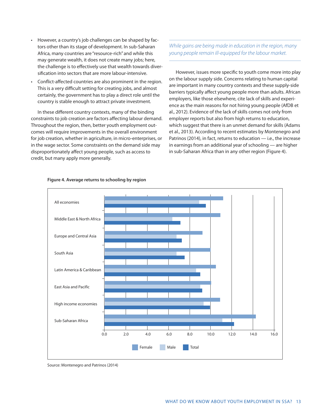- However, a country's job challenges can be shaped by factors other than its stage of development. In sub-Saharan Africa, many countries are "resource-rich" and while this may generate wealth, it does not create many jobs; here, the challenge is to effectively use that wealth towards diversification into sectors that are more labour-intensive.
- Conflict-affected countries are also prominent in the region. This is a very difficult setting for creating jobs, and almost certainly, the government has to play a direct role until the country is stable enough to attract private investment.

In these different country contexts, many of the binding constraints to job creation are factors affecting labour demand. Throughout the region, then, better youth employment outcomes will require improvements in the overall environment for job creation, whether in agriculture, in micro-enterprises, or in the wage sector. Some constraints on the demand side may disproportionately affect young people, such as access to credit, but many apply more generally.

While gains are being made in education in the region, many young people remain ill-equipped for the labour market.

However, issues more specific to youth come more into play on the labour supply side. Concerns relating to human capital are important in many country contexts and these supply-side barriers typically affect young people more than adults. African employers, like those elsewhere, cite lack of skills and experience as the main reasons for not hiring young people (AfDB et al., 2012). Evidence of the lack of skills comes not only from employer reports but also from high returns to education, which suggest that there is an unmet demand for skills (Adams et al., 2013). According to recent estimates by Montenegro and Patrinos (2014), in fact, returns to education — i.e., the increase in earnings from an additional year of schooling — are higher in sub-Saharan Africa than in any other region (Figure 4).



#### **Figure 4. Average returns to schooling by region**

Source: Montenegro and Patrinos (2014)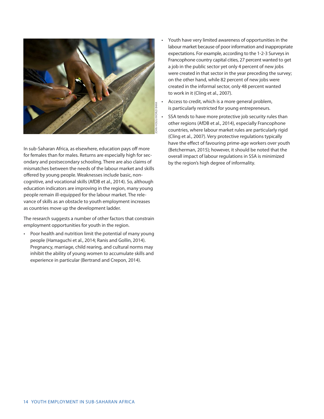

In sub-Saharan Africa, as elsewhere, education pays off more for females than for males. Returns are especially high for secondary and postsecondary schooling. There are also claims of mismatches between the needs of the labour market and skills offered by young people. Weaknesses include basic, noncognitive, and vocational skills (AfDB et al., 2014). So, although education indicators are improving in the region, many young people remain ill-equipped for the labour market. The relevance of skills as an obstacle to youth employment increases as countries move up the development ladder.

The research suggests a number of other factors that constrain employment opportunities for youth in the region.

• Poor health and nutrition limit the potential of many young people (Hamaguchi et al., 2014; Ranis and Gollin, 2014). Pregnancy, marriage, child rearing, and cultural norms may inhibit the ability of young women to accumulate skills and experience in particular (Bertrand and Crepon, 2014).

- Youth have very limited awareness of opportunities in the labour market because of poor information and inappropriate expectations. For example, according to the 1-2-3 Surveys in Francophone country capital cities, 27 percent wanted to get a job in the public sector yet only 4 percent of new jobs were created in that sector in the year preceding the survey; on the other hand, while 82 percent of new jobs were created in the informal sector, only 48 percent wanted to work in it (Cling et al., 2007).
- Access to credit, which is a more general problem, is particularly restricted for young entrepreneurs.
- SSA tends to have more protective job security rules than other regions (AfDB et al., 2014), especially Francophone countries, where labour market rules are particularly rigid (Cling et al., 2007). Very protective regulations typically have the effect of favouring prime-age workers over youth (Betcherman, 2015); however, it should be noted that the overall impact of labour regulations in SSA is minimized by the region's high degree of informality.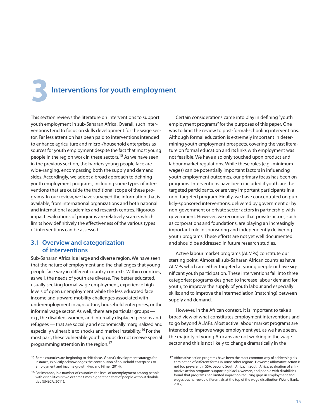**3Interventions for youth employment**

This section reviews the literature on interventions to support youth employment in sub-Saharan Africa. Overall, such interventions tend to focus on skills development for the wage sector. Far less attention has been paid to interventions intended to enhance agriculture and micro-/household enterprises as sources for youth employment despite the fact that most young people in the region work in these sectors.<sup>15</sup> As we have seen in the previous section, the barriers young people face are wide-ranging, encompassing both the supply and demand sides. Accordingly, we adopt a broad approach to defining youth employment programs, including some types of interventions that are outside the traditional scope of these programs. In our review, we have surveyed the information that is available, from international organizations and both national and international academics and research centres. Rigorous impact evaluations of programs are relatively scarce, which limits how definitively the effectiveness of the various types of interventions can be assessed.

## **3.1 Overview and categorization of interventions**

Sub-Saharan Africa is a large and diverse region. We have seen that the nature of employment and the challenges that young people face vary in different country contexts. Within countries, as well, the needs of youth are diverse. The better educated, usually seeking formal wage employment, experience high levels of open unemployment while the less educated face income and upward mobility challenges associated with underemployment in agriculture, household enterprises, or the informal wage sector. As well, there are particular groups e.g., the disabled, women, and internally displaced persons and refugees — that are socially and economically marginalized and especially vulnerable to shocks and market instability.<sup>16</sup> For the most part, these vulnerable youth groups do not receive special programming attention in the region.<sup>17</sup>

Certain considerations came into play in defining"youth employment programs"for the purposes of this paper. One was to limit the review to post-formal-schooling interventions. Although formal education is extremely important in determining youth employment prospects, covering the vast literature on formal education and its links with employment was not feasible. We have also only touched upon product and labour market regulations. While these rules (e.g., minimum wages) can be potentially important factors in influencing youth employment outcomes, our primary focus has been on programs. Interventions have been included if youth are the targeted participants, or are very important participants in a non- targeted program. Finally, we have concentrated on publicly-sponsored interventions, delivered by government or by non-government or private sector actors in partnership with government. However, we recognize that private actors, such as corporations and foundations, are playing an increasingly important role in sponsoring and independently delivering youth programs. These efforts are not yet well documented and should be addressed in future research studies.

Active labour market programs (ALMPs) constitute our starting point. Almost all sub-Saharan African countries have ALMPs which are either targeted at young people or have significant youth participation. These interventions fall into three categories: programs designed to increase labour demand for youth; to improve the supply of youth labour and especially skills; and to improve the intermediation (matching) between supply and demand.

However, in the African context, it is important to take a broad view of what constitutes employment interventions and to go beyond ALMPs. Most active labour market programs are intended to improve wage employment yet, as we have seen, the majority of young Africans are not working in the wage sector and this is not likely to change dramatically in the

<sup>15</sup> Some countries are beginning to shift focus. Ghana's development strategy, for instance, explicitly acknowledges the contribution of household enterprises to employment and income growth (Fox and Filmer, 2014).

<sup>16</sup> For instance, in a number of countries the level of unemployment among people with disabilities is two or three times higher than that of people without disabilities (UNECA, 2011).

<sup>17</sup> Affirmative action programs have been the most common way of addressing discrimination of different forms in some other regions. However, affirmative action is not too prevalent in SSA, beyond South Africa. In South Africa, evaluation of affirmative action programs supporting blacks, women, and people with disabilities found that programs had limited impact on reducing gaps in employment and wages but narrowed differentials at the top of the wage distribution (World Bank, 2012).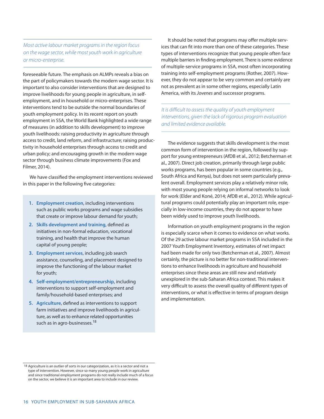Most active labour market programs in the region focus on the wage sector, while most youth work in agriculture or micro-enterprise.

foreseeable future. The emphasis on ALMPs reveals a bias on the part of policymakers towards the modern wage sector. It is important to also consider interventions that are designed to improve livelihoods for young people in agriculture, in selfemployment, and in household or micro-enterprises. These interventions tend to be outside the normal boundaries of youth employment policy. In its recent report on youth employment in SSA, the World Bank highlighted a wide range of measures (in addition to skills development) to improve youth livelihoods: raising productivity in agriculture through access to credit, land reform, and infrastructure; raising productivity in household enterprises through access to credit and urban policy; and encouraging growth in the modern wage sector through business climate improvements (Fox and Filmer, 2014).

We have classified the employment interventions reviewed in this paper in the following five categories:

- **1. Employment creation, including interventions** such as public works programs and wage subsidies **EXECUTE:** that create or improve labour demand for youth;
- **2. Skills development and training**, defined as initiatives in non-formal education, vocational training, and health that improve the human capital of young people; and the improve the capital of young people;
- **3. Employment services, including job search** assistance, counseling, and placement designed to improve the functioning of the labour market for youth; and the state of the state of the state of the state of the state of the state of the state of the state of the state of the state of the state of the state of the state of the state of the state of the state of
- **4. Self-employment/entrepreneurship**, including interventions to support self-employment and family/household-based enterprises; and
	- **5.** Agriculture, defined as interventions to support farm initiatives and improve livelihoods in agriculture, as well as to enhance related opportunities such as in agro-businesses.<sup>18</sup>

It should be noted that programs may offer multiple services that can fit into more than one of these categories. These types of interventions recognize that young people often face multiple barriers in finding employment. There is some evidence of multiple-service programs in SSA, most often incorporating training into self-employment programs (Rother, 2007). However, they do not appear to be very common and certainly are not as prevalent as in some other regions, especially Latin America, with its Jovenes and successor programs.

It is difficult to assess the quality of youth employment interventions, given the lack of rigorous program evaluation and limited evidence available.

The evidence suggests that skills development is the most common form of intervention in the region, followed by support for young entrepreneurs (AfDB et al., 2012; Betcherman et al., 2007). Direct job creation, primarily through large public works programs, has been popular in some countries (e.g., South Africa and Kenya), but does not seem particularly prevalent overall. Employment services play a relatively minor role, with most young people relying on informal networks to look for work (Elder and Koné, 2014; AfDB et al., 2012). While agricultural programs could potentially play an important role, especially in low-income countries, they do not appear to have been widely used to improve youth livelihoods.

Information on youth employment programs in the region is especially scarce when it comes to evidence on what works. Of the 29 active labour market programs in SSA included in the 2007 Youth Employment Inventory, estimates of net impact had been made for only two (Betcherman et al., 2007). Almost certainly, the picture is no better for non-traditional interventions to enhance livelihoods in agriculture and household enterprises since these areas are still new and relatively unexplored in the sub-Saharan Africa context. This makes it very difficult to assess the overall quality of different types of interventions, or what is effective in terms of program design and implementation.

<sup>18</sup> Agriculture is an outlier of sorts in our categorization, as it is a sector and not a type of intervention. However, since so many young people work in agriculture and since traditional employment programs do not really include much of a focus on the sector, we believe it is an important area to include in our review.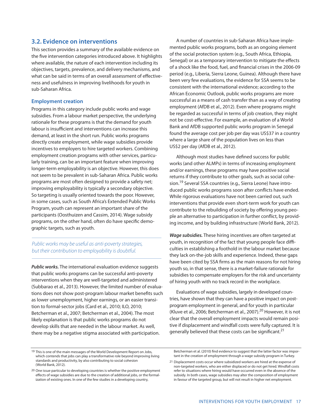## **3.2. Evidence on interventions**

This section provides a summary of the available evidence on the five intervention categories introduced above. It highlights where available, the nature of each intervention including its objectives, targets, prevalence, and delivery mechanisms, and what can be said in terms of an overall assessment of effectiveness and usefulness in improving livelihoods for youth in sub-Saharan Africa.

#### **Employment creation**

Programs in this category include public works and wage subsidies. From a labour market perspective, the underlying rationale for these programs is that the demand for youth labour is insufficient and interventions can increase this demand, at least in the short run. Public works programs directly create employment, while wage subsidies provide incentives to employers to hire targeted workers. Combining employment creation programs with other services, particularly training, can be an important feature when improving longer-term employability is an objective. However, this does not seem to be prevalent in sub-Saharan Africa. Public works programs are most often designed to provide a safety net; improving employability is typically a secondary objective. So targeting is usually oriented towards the poor. However, in some cases, such as South Africa's Extended Public Works Program, youth can represent an important share of the participants (Oosthuizen and Cassim, 2014). Wage subsidy programs, on the other hand, often do have specific demographic targets, such as youth.

## Public works may be useful as anti-poverty strategies, but their contribution to employability is doubtful.

*Public works.* The international evaluation evidence suggests that public works programs can be successful anti-poverty interventions when they are well-targeted and administered (Subbarao et al., 2013). However, the limited number of evaluations does not show post-program labour market benefits such as lower unemployment, higher earnings, or an easier transition to formal-sector jobs (Card et al., 2010; ILO, 2010; Betcherman et al., 2007; Betcherman et al., 2004). The most likely explanation is that public works programs do not develop skills that are needed in the labour market. As well, there may be a negative stigma associated with participation.

A number of countries in sub-Saharan Africa have implemented public works programs, both as an ongoing element of the social protection system (e.g., South Africa, Ethiopia, Senegal) or as a temporary intervention to mitigate the effects of a shock like the food, fuel, and financial crises in the 2006-09 period (e.g., Liberia, Sierra Leone, Guinea). Although there have been very few evaluations, the evidence for SSA seems to be consistent with the international evidence; according to the African Economic Outlook, public works programs are more successful as a means of cash transfer than as a way of creating employment (AfDB et al., 2012). Even where programs might be regarded as successful in terms of job creation, they might not be cost-effective. For example, an evaluation of a World Bank and AfDB supported public works program in Senegal found the average cost per job per day was US\$37 in a country where a large share of the population lives on less than US\$2 per day (AfDB et al., 2012).

Although most studies have defined success for public works (and other ALMPs) in terms of increasing employment and/or earnings, these programs may have positive social returns if they contribute to other goals, such as social cohesion.<sup>19</sup> Several SSA countries (e.g., Sierra Leone) have introduced public works programs soon after conflicts have ended. While rigorous evaluations have not been carried out, such interventions that provide even short-term work for youth can contribute to the rebuilding of society by offering young people an alternative to participation in further conflict, by providing income, and by building infrastructure (World Bank, 2012).

*Wage subsidies.* These hiring incentives are often targeted at youth, in recognition of the fact that young people face difficulties in establishing a foothold in the labour market because they lack on-the-job skills and experience. Indeed, these gaps have been cited by SSA firms as the main reasons for not hiring youth so, in that sense, there is a market-failure rationale for subsidies to compensate employers for the risk and uncertainty of hiring youth with no track record in the workplace.

Evaluations of wage subsidies, largely in developed countries, have shown that they can have a positive impact on postprogram employment in general, and for youth in particular (Kluve et al., 2006; Betcherman et al., 2007).<sup>20</sup> However, it is not clear that the overall employment impacts would remain positive if displacement and windfall costs were fully captured. It is generally believed that these costs can be significant.<sup>21</sup>

Betcherman et al. (2010) find evidence to suggest that the latter factor was important in the creation of employment through a wage subsidy program in Turkey.

21 Displacement costs occur where subsidized workers are hired at the expense of non-targeted workers, who are either displaced or do not get hired. Windfall costs refer to situations where hiring would have occurred even in the absence of the subsidy. In both cases, wage subsidies may alter the composition of employment in favour of the targeted group, but will not result in higher net employment.

<sup>19</sup> This is one of the main messages of the World Development Report on Jobs, which contends that jobs can play a transformative role beyond improving living standards and productivity, by also contributing to social cohesion (World Bank, 2012).

<sup>20</sup> One issue particular to developing countries is whether the positive employment effects of wage subsidies are due to the creation of additional jobs, or the formalization of existing ones. In one of the few studies in a developing country,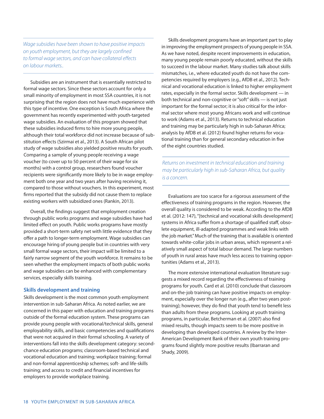Wage subsidies have been shown to have positive impacts on youth employment, but they are largely confined to formal wage sectors, and can have collateral effects on labour markets..

Subsidies are an instrument that is essentially restricted to formal wage sectors. Since these sectors account for only a small minority of employment in most SSA countries, it is not surprising that the region does not have much experience with this type of incentive. One exception is South Africa where the government has recently experimented with youth-targeted wage subsidies. An evaluation of this program showed that these subsidies induced firms to hire more young people, although their total workforce did not increase because of substitution effects (Szirmai et al., 2013). A South African pilot study of wage subsidies also yielded positive results for youth. Comparing a sample of young people receiving a wage voucher (to cover up to 50 percent of their wage for six months) with a control group, researchers found voucher recipients were significantly more likely to be in wage employment both one year and two years after having receiving it, compared to those without vouchers. In this experiment, most firms reported that the subsidy did not cause them to replace existing workers with subsidized ones (Rankin, 2013).

Overall, the findings suggest that employment creation through public works programs and wage subsidies have had limited effect on youth. Public works programs have mostly provided a short-term safety net with little evidence that they offer a path to longer-term employment. Wage subsidies can encourage hiring of young people but in countries with very small formal wage sectors, their impact will be limited to a fairly narrow segment of the youth workforce. It remains to be seen whether the employment impacts of both public works and wage subsidies can be enhanced with complementary services, especially skills training.

#### **Skills development and training**

Skills development is the most common youth employment intervention in sub-Saharan Africa. As noted earlier, we are concerned in this paper with education and training programs outside of the formal education system. These programs can provide young people with vocational/technical skills, general employability skills, and basic competencies and qualifications that were not acquired in their formal schooling. A variety of interventions fall into the skills development category: secondchance education programs; classroom-based technical and vocational education and training; workplace training; formal and non-formal apprenticeship schemes; soft- and life-skills training; and access to credit and financial incentives for employers to provide workplace training.

Skills development programs have an important part to play in improving the employment prospects of young people in SSA. As we have noted, despite recent improvements in education, many young people remain poorly educated, without the skills to succeed in the labour market. Many studies talk about skills mismatches, i.e., where educated youth do not have the competencies required by employers (e.g., AfDB et al., 2012). Technical and vocational education is linked to higher employment rates, especially in the formal sector. Skills development — in both technical and non-cognitive or"soft"skills — is not just important for the formal sector; it is also critical for the informal sector where most young Africans work and will continue to work (Adams et al., 2013). Returns to technical education and training may be particularly high in sub-Saharan Africa; analysis by AfDB et al. (2012) found higher returns for vocational training than for general secondary education in five of the eight countries studied.

Returns on investment in technical education and training may be particularly high in sub-Saharan Africa, but quality is a concern.

Evaluations are too scarce for a rigorous assessment of the effectiveness of training programs in the region. However, the overall quality is considered to be weak. According to the AfDB et al. (2012: 147), "[technical and vocational skills development] systems in Africa suffer from a shortage of qualified staff, obsolete equipment, ill-adapted programmes and weak links with the job market." Much of the training that is available is oriented towards white-collar jobs in urban areas, which represent a relatively small aspect of total labour demand. The large numbers of youth in rural areas have much less access to training opportunities (Adams et al., 2013).

The more extensive international evaluation literature suggests a mixed record regarding the effectiveness of training programs for youth. Card et al. (2010) conclude that classroom and on-the-job training can have positive impacts on employment, especially over the longer run (e.g., after two years posttraining); however, they do find that youth tend to benefit less than adults from these programs. Looking at youth training programs, in particular, Betcherman et al. (2007) also find mixed results, though impacts seem to be more positive in developing than developed countries. A review by the Inter-American Development Bank of their own youth training programs found slightly more positive results (Ibarraran and Shady, 2009).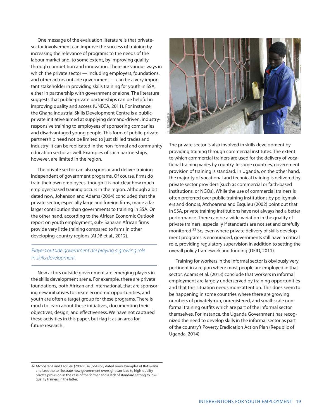One message of the evaluation literature is that privatesector involvement can improve the success of training by increasing the relevance of programs to the needs of the labour market and, to some extent, by improving quality through competition and innovation. There are various ways in which the private sector — including employers, foundations, and other actors outside government — can be a very important stakeholder in providing skills training for youth in SSA, either in partnership with government or alone. The literature suggests that public-private partnerships can be helpful in improving quality and access (UNECA, 2011). For instance, the Ghana Industrial Skills Development Centre is a publicprivate initiative aimed at supplying demand-driven, industryresponsive training to employees of sponsoring companies and disadvantaged young people. This form of public-private partnership need not be limited to just skilled trades and industry: it can be replicated in the non-formal and community education sector as well. Examples of such partnerships, however, are limited in the region.

The private sector can also sponsor and deliver training independent of government programs. Of course, firms do train their own employees, though it is not clear how much employer-based training occurs in the region. Although a bit dated now, Johanson and Adams (2004) concluded that the private sector, especially large and foreign firms, made a far larger contribution than governments to training in SSA. On the other hand, according to the African Economic Outlook report on youth employment, sub- Saharan African firms provide very little training compared to firms in other developing-country regions (AfDB et al., 2012).

## Players outside government are playing a growing role in skills development.

New actors outside government are emerging players in the skills development arena. For example, there are private foundations, both African and international, that are sponsoring new initiatives to create economic opportunities, and youth are often a target group for these programs. There is much to learn about these initiatives, documenting their objectives, design, and effectiveness. We have not captured these activities in this paper, but flag it as an area for future research.



The private sector is also involved in skills development by providing training through commercial institutes. The extent to which commercial trainers are used for the delivery of vocational training varies by country. In some countries, government provision of training is standard. In Uganda, on the other hand, the majority of vocational and technical training is delivered by private sector providers (such as commercial or faith-based institutions, or NGOs). While the use of commercial trainers is often preferred over public training institutions by policymakers and donors, Atchoarena and Esquieu (2002) point out that in SSA, private training institutions have not always had a better performance. There can be a wide variation in the quality of private trainers, especially if standards are not set and carefully monitored.<sup>22</sup> So, even where private delivery of skills development programs is encouraged, governments still have a critical role, providing regulatory supervision in addition to setting the overall policy framework and funding (DFID, 2011).

Training for workers in the informal sector is obviously very pertinent in a region where most people are employed in that sector. Adams et al. (2013) conclude that workers in informal employment are largely underserved by training opportunities and that this situation needs more attention. This does seem to be happening in some countries where there are growing numbers of privately-run, unregistered, and small-scale nonformal training outfits which are part of the informal sector themselves. For instance, the Uganda Government has recognized the need to develop skills in the informal sector as part of the country's Poverty Eradication Action Plan (Republic of Uganda, 2014).

<sup>22</sup> Atchoarena and Esquieu (2002) use (possibly dated now) examples of Botswana and Lesotho to illustrate how government oversight can lead to high-quality private provision in the case of the former and a lack of standard setting to lowquality trainers in the latter.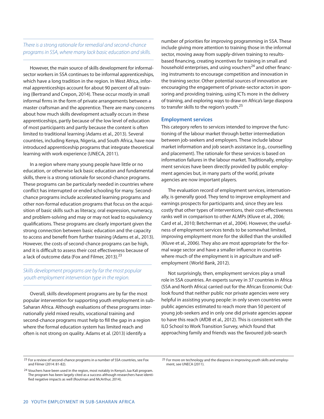## There is a strong rationale for remedial and second-chance programs in SSA, where many lack basic education and skills.

However, the main source of skills development for informalsector workers in SSA continues to be informal apprenticeships, which have a long tradition in the region. In West Africa, informal apprenticeships account for about 90 percent of all training (Bertrand and Crepon, 2014). These occur mostly in small informal firms in the form of private arrangements between a master craftsman and the apprentice. There are many concerns about how much skills development actually occurs in these apprenticeships, partly because of the low level of education of most participants and partly because the content is often limited to traditional learning (Adams et al., 2013). Several countries, including Kenya, Nigeria, and South Africa, have now introduced apprenticeship programs that integrate theoretical learning with work experience (UNECA, 2011).

In a region where many young people have little or no education, or otherwise lack basic education and fundamental skills, there is a strong rationale for second-chance programs. These programs can be particularly needed in countries where conflict has interrupted or ended schooling for many. Secondchance programs include accelerated learning programs and other non-formal education programs that focus on the acquisition of basic skills such as literacy, oral expression, numeracy, and problem-solving and may or may not lead to equivalency qualifications. These programs are clearly important given the strong connection between basic education and the capacity to access and benefit from further training (Adams et al., 2013). However, the costs of second-chance programs can be high, and it is difficult to assess their cost effectiveness because of a lack of outcome data (Fox and Filmer, 2013).<sup>23</sup>

## Skills development programs are by far the most popular youth employment intervention type in the region.

Overall, skills development programs are by far the most popular intervention for supporting youth employment in sub-Saharan Africa. Although evaluations of these programs internationally yield mixed results, vocational training and second-chance programs must help to fill the gap in a region where the formal education system has limited reach and often is not strong on quality. Adams et al. (2013) identify a

number of priorities for improving programming in SSA. These include giving more attention to training those in the informal sector, moving away from supply-driven training to resultsbased financing, creating incentives for training in small and household enterprises, and using vouchers<sup>24</sup> and other financing instruments to encourage competition and innovation in the training sector. Other potential sources of innovation are encouraging the engagement of private-sector actors in sponsoring and providing training, using ICTs more in the delivery of training, and exploring ways to draw on Africa's large diaspora to transfer skills to the region's youth.<sup>25</sup>

#### **Employment services**

This category refers to services intended to improve the functioning of the labour market through better intermediation between job-seekers and employers. These include labour market information and job search assistance (e.g., counselling and placement). The rationale for these services is based on information failures in the labour market. Traditionally, employment services have been directly provided by public employment agencies but, in many parts of the world, private agencies are now important players.

The evaluation record of employment services, internationally, is generally good. They tend to improve employment and earnings prospects for participants and, since they are less costly that other types of interventions, their cost-effectiveness ranks well in comparison to other ALMPs (Kluve et al., 2006; Card et al., 2010; Betcherman et al., 2004). However, the usefulness of employment services tends to be somewhat limited, improving employment more for the skilled than the unskilled (Kluve et al., 2006). They also are most appropriate for the formal wage sector and have a smaller influence in countries where much of the employment is in agriculture and selfemployment (World Bank, 2012).

Not surprisingly, then, employment services play a small role in SSA countries. An experts survey in 37 countries in Africa (SSA and North Africa) carried out for the African Economic Outlook found that neither public nor private agencies were very helpful in assisting young people: in only seven countries were public agencies estimated to reach more than 50 percent of young job-seekers and in only one did private agencies appear to have this reach (AfDB et al., 2012). This is consistent with the ILO School to Work Transition Survey, which found that approaching family and friends was the favoured job-search

<sup>23</sup> For a review of second-chance programs in a number of SSA countries, see Fox and Filmer (2014: 81-82).

<sup>24</sup> Vouchers have been used in the region, most notably in Kenya's Jua Kali program. The program has been largely cited as a success although researchers have identified negative impacts as well (Routman and McArthur, 2014).

<sup>25</sup> For more on technology and the diaspora in improving youth skills and employment, see UNECA (2011).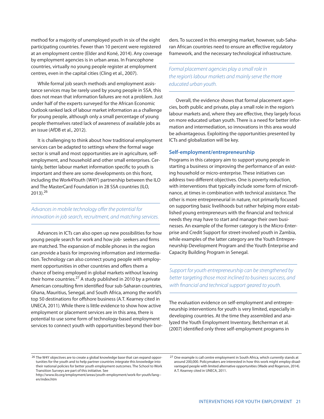method for a majority of unemployed youth in six of the eight participating countries. Fewer than 10 percent were registered at an employment centre (Elder and Koné, 2014). Any coverage by employment agencies is in urban areas. In Francophone countries, virtually no young people register at employment centres, even in the capital cities (Cling et al., 2007).

While formal job search methods and employment assistance services may be rarely used by young people in SSA, this does not mean that information failures are not a problem. Just under half of the experts surveyed for the African Economic Outlook ranked lack of labour market information as a challenge for young people, although only a small percentage of young people themselves rated lack of awareness of available jobs as an issue (AfDB et al., 2012).

It is challenging to think about how traditional employment services can be adapted to settings where the formal wage sector is small and most opportunities are in agriculture, selfemployment, and household and other small enterprises. Certainly, better labour market information specific to youth is important and there are some developments on this front, including the Work4Youth (W4Y) partnership between the ILO and The MasterCard Foundation in 28 SSA countries (ILO, 2013). 26

## Advances in mobile technology offer the potential for innovation in job search, recruitment, and matching services.

Advances in ICTs can also open up new possibilities for how young people search for work and how job- seekers and firms are matched. The expansion of mobile phones in the region can provide a basis for improving information and intermediation. Technology can also connect young people with employment opportunities in other countries and offers them a chance of being employed in global markets without leaving their home countries.<sup>27</sup> A study published in 2010 by a private American consulting firm identified four sub-Saharan countries, Ghana, Mauritius, Senegal, and South Africa, among the world's top 50 destinations for offshore business (A.T. Kearney cited in UNECA, 2011). While there is little evidence to show how active employment or placement services are in this area, there is potential to use some form of technology-based employment services to connect youth with opportunities beyond their bor-

ders. To succeed in this emerging market, however, sub-Saharan African countries need to ensure an effective regulatory framework, and the necessary technological infrastructure.

Formal placement agencies play a small role in the region's labour markets and mainly serve the more educated urban youth.

Overall, the evidence shows that formal placement agencies, both public and private, play a small role in the region's labour markets and, where they are effective, they largely focus on more educated urban youth. There is a need for better information and intermediation, so innovations in this area would be advantageous. Exploiting the opportunities presented by ICTs and globalization will be key.

#### **Self-employment/entrepreneurship**

Programs in this category aim to support young people in starting a business or improving the performance of an existing household or micro-enterprise. These initiatives can address two different objectives. One is poverty reduction, with interventions that typically include some form of microfinance, at times in combination with technical assistance. The other is more entrepreneurial in nature, not primarily focused on supporting basic livelihoods but rather helping more established young entrepreneurs with the financial and technical needs they may have to start and manage their own businesses. An example of the former category is the Micro-Enterprise and Credit Support for street-involved youth in Zambia, while examples of the latter category are the Youth Entrepreneurship Development Program and the Youth Enterprise and Capacity Building Program in Senegal.

Support for youth entrepreneurship can be strengthened by better targeting those most inclined to business success, and with financial and technical support geared to youth.

The evaluation evidence on self-employment and entrepreneurship interventions for youth is very limited, especially in developing countries. At the time they assembled and analyzed the Youth Employment Inventory, Betcherman et al. (2007) identified only three self-employment programs in

<sup>26</sup> The W4Y objectives are to create a global knowledge base that can expand opportunities for the youth and to help partner countries integrate this knowledge into their national policies for better youth employment outcomes. The School to Work Transition Surveys are part of this initiative. See

http://www.ilo.org/employment/areas/youth-employment/work-for-youth/lang- en/index.htm

<sup>27</sup> One example is call centre employment in South Africa, which currently stands at around 200,000. Policymakers are interested in how this work might employ disadvantaged people with limited alternative opportunities(Wade and Rogerson, 2014). A.T. Kearney cited in UNECA, 2011.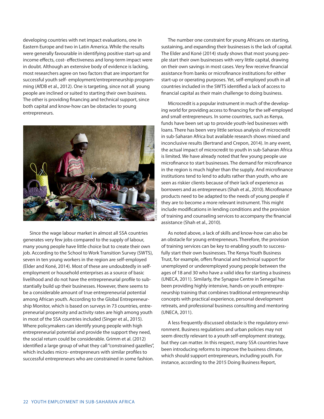developing countries with net impact evaluations, one in Eastern Europe and two in Latin America. While the results were generally favourable in identifying positive start-up and income effects, cost- effectiveness and long-term impact were in doubt. Although an extensive body of evidence is lacking, most researchers agree on two factors that are important for successful youth self- employment/entrepreneurship programming (AfDB et al., 2012). One is targeting, since not all young people are inclined or suited to starting their own business. The other is providing financing and technical support, since both capital and know-how can be obstacles to young entrepreneurs.



Since the wage labour market in almost all SSA countries generates very few jobs compared to the supply of labour, many young people have little choice but to create their own job. According to the School to Work Transition Survey (SWTS), seven in ten young workers in the region are self-employed (Elder and Koné, 2014). Most of these are undoubtedly in selfemployment or household enterprises as a source of basic livelihood and do not have the entrepreneurial profile to substantially build up their businesses. However, there seems to be a considerable amount of true entrepreneurial potential among African youth. According to the Global Entrepreneurship Monitor, which is based on surveys in 73 countries, entrepreneurial propensity and activity rates are high among youth in most of the SSA countries included (Singer et al., 2015). Where policymakers can identify young people with high entrepreneurial potential and provide the support they need, the social return could be considerable. Grimm et al. (2012) identified a large group of what they call "constrained gazelles", which includes micro- entrepreneurs with similar profiles to successful entrepreneurs who are constrained in some fashion.

The number one constraint for young Africans on starting, sustaining, and expanding their businesses is the lack of capital. The Elder and Koné (2014) study shows that most young people start their own businesses with very little capital, drawing on their own savings in most cases. Very few receive financial assistance from banks or microfinance institutions for either start-up or operating purposes. Yet, self-employed youth in all countries included in the SWTS identified a lack of access to financial capital as their main challenge to doing business.

Microcredit is a popular instrument in much of the developing world for providing accessto financing for the self-employed and small entrepreneurs. In some countries, such as Kenya, funds have been set up to provide youth-led businesses with loans. There has been very little serious analysis of microcredit in sub-Saharan Africa but available research shows mixed and inconclusive results (Bertrand and Crepon, 2014). In any event, the actual impact of microcredit to youth in sub-Saharan Africa is limited. We have already noted that few young people use microfinance to start businesses. The demand for microfinance in the region is much higher than the supply. And microfinance institutions tend to lend to adults rather than youth, who are seen as riskier clients because of their lack of experience as borrowers and as entrepreneurs(Shah et al., 2010). Microfinance products need to be adapted to the needs of young people if they are to become a more relevant instrument. This might include modifications in lending conditions and the provision of training and counseling services to accompany the financial assistance (Shah et al., 2010).

As noted above, a lack of skills and know-how can also be an obstacle for young entrepreneurs. Therefore, the provision of training services can be key to enabling youth to successfully start their own businesses. The Kenya Youth Business Trust, for example, offers financial and technical support for unemployed or underemployed young people between the ages of 18 and 30 who have a valid idea for starting a business (UNECA, 2011). Similarly, the Synapse Centre in Senegal has been providing highly intensive, hands-on youth entrepreneurship training that combines traditional entrepreneurship concepts with practical experience, personal development retreats, and professional business consulting and mentoring (UNECA, 2011).

A less frequently discussed obstacle is the regulatory environment. Business regulations and urban policies may not seem directly relevant to a youth self-employment strategy, but they can matter. In this respect, many SSA countries have been introducing reforms to improve the business climate, which should support entrepreneurs, including youth. For instance, according to the 2015 Doing Business Report,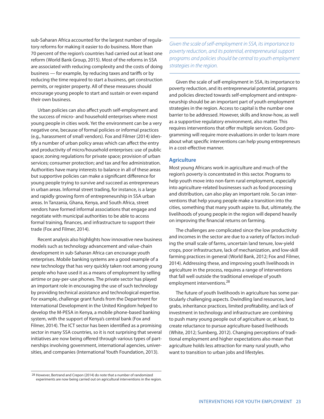sub-Saharan Africa accounted for the largest number of regulatory reforms for making it easier to do business. More than 70 percent of the region's countries had carried out at least one reform (World Bank Group, 2015). Most of the reforms in SSA are associated with reducing complexity and the costs of doing business — for example, by reducing taxes and tariffs or by reducing the time required to start a business, get construction permits, or register property. All of these measures should encourage young people to start and sustain or even expand their own business.

Urban policies can also affect youth self-employment and the success of micro- and household enterprises where most young people in cities work. Yet the environment can be a very negative one, because of formal policies or informal practices (e.g., harassment of small vendors). Fox and Filmer (2014) identify a number of urban policy areas which can affect the entry and productivity of micro/household enterprises: use of public space; zoning regulations for private space; provision of urban services; consumer protection; and tax and fee administration. Authorities have many interests to balance in all of these areas but supportive policies can make a significant difference for young people trying to survive and succeed as entrepreneurs in urban areas. Informal street trading, for instance, is a large and rapidly growing form of entrepreneurship in SSA urban areas. In Tanzania, Ghana, Kenya, and South Africa, street vendors have formed informal associations that engage and negotiate with municipal authorities to be able to access formal training, finances, and infrastructure to support their trade (Fox and Filmer, 2014).

Recent analysis also highlights how innovative new business models such as technology advancement and value-chain development in sub-Saharan Africa can encourage youth enterprises. Mobile banking systems are a good example of a new technology that has very quickly taken root among young people who have used it as a means of employment by selling airtime or pay-per-use phones. The private sector has played an important role in encouraging the use of such technology by providing technical assistance and technological expertise. For example, challenge grant funds from the Department for International Development in the United Kingdom helped to develop the M-PESA in Kenya, a mobile phone-based banking system, with the support of Kenya's central bank (Fox and Filmer, 2014). The ICT sector has been identified as a promising sector in many SSA countries, so it is not surprising that several initiatives are now being offered through various types of partnerships involving government, international agencies, universities, and companies (International Youth Foundation, 2013).

Given the scale of self-employment in SSA, its importance to poverty reduction, and its potential, entrepreneurial support programs and policies should be central to youth employment strategies in the region.

Given the scale of self-employment in SSA, its importance to poverty reduction, and its entrepreneurial potential, programs and policies directed towards self-employment and entrepreneurship should be an important part of youth employment strategies in the region. Access to capital is the number one barrier to be addressed. However, skills and know-how, as well as a supportive regulatory environment, also matter. This requires interventions that offer multiple services. Good programming will require more evaluations in order to learn more about what specific interventions can help young entrepreneurs in a cost-effective manner.

#### **Agriculture**

Most young Africans work in agriculture and much of the region's poverty is concentrated in this sector. Programs to help youth move into non-farm rural employment, especially into agriculture-related businesses such as food processing and distribution, can also play an important role. So can interventions that help young people make a transition into the cities, something that many youth aspire to. But, ultimately, the livelihoods of young people in the region will depend heavily on improving the financial returns on farming.

The challenges are complicated since the low productivity and incomes in the sector are due to a variety of factors including the small scale of farms, uncertain land tenure, low-yield crops, poor infrastructure, lack of mechanization, and low-skill farming practices in general (World Bank, 2012; Fox and Filmer, 2014). Addressing these, and improving youth livelihoods in agriculture in the process, requires a range of interventions that fall well outside the traditional envelope of youth employment interventions. 28

The future of youth livelihoods in agriculture has some particularly challenging aspects. Dwindling land resources, land grabs, inheritance practices, limited profitability, and lack of investment in technology and infrastructure are combining to push many young people out of agriculture or, at least, to create reluctance to pursue agriculture-based livelihoods (White, 2012; Sumberg, 2012). Changing perceptions of traditional employment and higher expectations also mean that agriculture holds less attraction for many rural youth, who want to transition to urban jobs and lifestyles.

<sup>28</sup> However, Bertrand and Crepon (2014) do note that a number of randomized experiments are now being carried out on agricultural interventions in the region.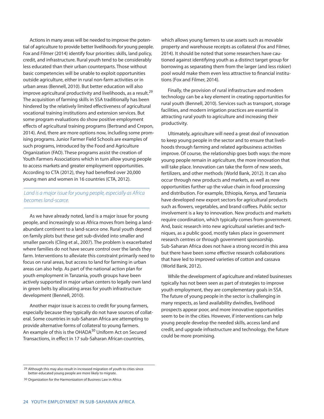Actions in many areas will be needed to improve the potential of agriculture to provide better livelihoods for young people. Fox and Filmer (2014) identify four priorities: skills, land policy, credit, and infrastructure. Rural youth tend to be considerably less educated than their urban counterparts. Those without basic competencies will be unable to exploit opportunities outside agriculture, either in rural non-farm activities or in urban areas (Bennell, 2010). But better education will also improve agricultural productivity and livelihoods, as a result.<sup>29</sup> The acquisition of farming skills in SSA traditionally has been hindered by the relatively limited effectiveness of agricultural vocational training institutions and extension services. But some program evaluations do show positive employment effects of agricultural training programs (Bertrand and Crepon, 2014). And, there are more options now, including some promising programs. Junior Farmer Field Schools are examples of such programs, introduced by the Food and Agriculture Organization (FAO). These programs assist the creation of Youth Farmers Associations which in turn allow young people to access markets and greater employment opportunities. According to CTA (2012), they had benefited over 20,000 young men and women in 16 countries (CTA, 2012).

## Land is a major issue for young people, especially as Africa becomes land-scarce.

As we have already noted, land is a major issue for young people, and increasingly so as Africa moves from being a landabundant continent to a land-scarce one. Rural youth depend on family plots but these get sub-divided into smaller and smaller parcels (Cling et al., 2007). The problem is exacerbated where families do not have secure control over the lands they farm. Interventions to alleviate this constraint primarily need to focus on rural areas, but access to land for farming in urban areas can also help. As part of the national action plan for youth employment in Tanzania, youth groups have been actively supported in major urban centers to legally own land in green belts by allocating areas for youth infrastructure development (Bennell, 2010).

Another major issue is access to credit for young farmers, especially because they typically do not have sources of collateral. Some countries in sub-Saharan Africa are attempting to provide alternative forms of collateral to young farmers. An example of this is the OHADA<sup>30</sup> Uniform Act on Secured Transactions, in effect in 17 sub-Saharan African countries,

which allows young farmers to use assets such as movable property and warehouse receipts as collateral (Fox and Filmer, 2014). It should be noted that some researchers have cautioned against identifying youth as a distinct target group for borrowing as separating them from the larger (and less riskier) pool would make them even less attractive to financial institutions (Fox and Filmer, 2014).

Finally, the provision of rural infrastructure and modern technology can be a key element in creating opportunities for rural youth (Bennell, 2010). Services such as transport, storage facilities, and modern irrigation practices are essential in attracting rural youth to agriculture and increasing their productivity.

Ultimately, agriculture will need a great deal of innovation to keep young people in the sector and to ensure that livelihoods through farming and related agribusiness activities improve. Of course, the relationship goes both ways: the more young people remain in agriculture, the more innovation that will take place. Innovation can take the form of new seeds, fertilizers, and other methods (World Bank, 2012). It can also occur through new products and markets, as well as new opportunities further up the value chain in food processing and distribution. For example, Ethiopia, Kenya, and Tanzania have developed new export sectors for agricultural products such as flowers, vegetables, and brand coffees. Public sector involvement is a key to innovation. New products and markets require coordination, which typically comes from government. And, basic research into new agricultural varieties and techniques, as a public good, mostly takes place in government research centres or through government sponsorship. Sub-Saharan Africa does not have a strong record in this area but there have been some effective research collaborations that have led to improved varieties of cotton and cassava (World Bank, 2012).

While the development of agriculture and related businesses typically has not been seen as part of strategies to improve youth employment, they are complementary goals in SSA. The future of young people in the sector is challenging in many respects, as land availability dwindles, livelihood prospects appear poor, and more innovative opportunities seem to be in the cities. However, if interventions can help young people develop the needed skills, access land and credit, and upgrade infrastructure and technology, the future could be more promising.

<sup>29</sup> Although this may also result in increased migration of youth to cities since better-educated young people are more likely to migrate.

<sup>30</sup> Organization for the Harmonization of Business Law in Africa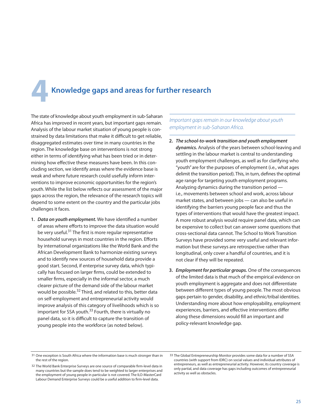# **4 Knowledge gaps and areas for further research**

The state of knowledge about youth employment in sub-Saharan Africa has improved in recent years, but important gaps remain. Analysis of the labour market situation of young people is constrained by data limitations that make it difficult to get reliable, disaggregated estimates over time in many countries in the region. The knowledge base on interventions is not strong either in terms of identifying what has been tried or in determining how effective these measures have been. In this concluding section, we identify areas where the evidence base is weak and where future research could usefully inform interventions to improve economic opportunities for the region's youth. While the list below reflects our assessment of the major gaps across the region, the relevance of the research topics will depend to some extent on the country and the particular jobs challenges it faces.

**1.** *Data on youth employment.* We have identified a number of areas where efforts to improve the data situation would be very useful.<sup>31</sup> The first is more regular representative household surveys in most countries in the region. Efforts by international organizations like the World Bank and the African Development Bank to harmonize existing surveys and to identify new sources of household data provide a good start. Second, if enterprise survey data, which typically has focused on larger firms, could be extended to smaller firms, especially in the informal sector, a much clearer picture of the demand side of the labour market would be possible.<sup>32</sup> Third, and related to this, better data on self-employment and entrepreneurial activity would improve analysis of this category of livelihoods which is so important for SSA youth.<sup>33</sup> Fourth, there is virtually no panel data, so it is difficult to capture the transition of young people into the workforce (as noted below).

Important gaps remain in our knowledge about youth employment in sub-Saharan Africa.

- **2.** *The school-to-work transition and youth employment dynamics.* Analysis of the years between school-leaving and settling in the labour market is central to understanding youth employment challenges, as well as for clarifying who "youth" are for the purposes of employment (i.e., what ages delimit the transition period). This, in turn, defines the optimal age range for targeting youth employment programs. Analyzing dynamics during the transition period i.e., movements between school and work, across labour market states, and between jobs — can also be useful in identifying the barriers young people face and thus the types of interventions that would have the greatest impact. A more robust analysis would require panel data, which can be expensive to collect but can answer some questions that cross-sectional data cannot. The School to Work Transition Surveys have provided some very useful and relevant information but these surveys are retrospective rather than longitudinal, only cover a handful of countries, and it is not clear if they will be repeated.
- **3.** *Employment for particular groups.* One of the consequences of the limited data is that much of the empirical evidence on youth employment is aggregate and does not differentiate between different types of young people. The most obvious gaps pertain to gender, disability, and ethnic/tribal identities. Understanding more about how employability, employment experiences, barriers, and effective interventions differ along these dimensions would fill an important and policy-relevant knowledge gap.

<sup>31</sup> One exception is South Africa where the information base is much stronger than in the rest of the region.

<sup>32</sup> The World Bank Enterprise Surveys are one source of comparable firm-level data in many countries but the sample does tend to be weighted to larger enterprises and the employment of young people in particular is not covered. The ILO-MasterCard Labour Demand Enterprise Surveys could be a useful addition to firm-level data.

<sup>33</sup> The Global Entrepreneurship Monitor provides some data for a number of SSA countries (with support from IDRC) on social values and individual attributes of entrepreneurs, as well as entrepreneurial activity. However, its country coverage is only partial, and data coverage has gaps including outcomes of entrepreneurial activity as well as obstacles.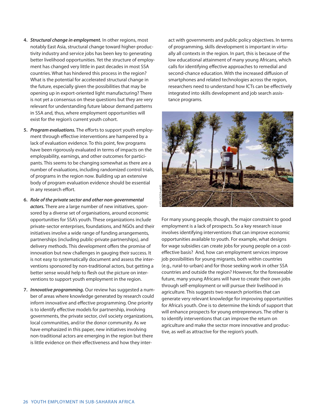- **4.** *Structural change in employment.* In other regions, most notably East Asia, structural change toward higher-productivity industry and service jobs has been key to generating better livelihood opportunities. Yet the structure of employment has changed very little in past decades in most SSA countries. What has hindered this process in the region? What is the potential for accelerated structural change in the future, especially given the possibilities that may be opening up in export-oriented light manufacturing? There is not yet a consensus on these questions but they are very relevant for understanding future labour demand patterns in SSA and, thus, where employment opportunities will exist for the region's current youth cohort.
- **5.** *Program evaluations.* The efforts to support youth employment through effective interventions are hampered by a lack of evaluation evidence. To this point, few programs have been rigorously evaluated in terms of impacts on the employability, earnings, and other outcomes for participants. This seems to be changing somewhat as there are a number of evaluations, including randomized control trials, of programs in the region now. Building up an extensive body of program evaluation evidence should be essential in any research effort.
- **6.** *Role of the private sector and other non-governmental actors.* There are a large number of new initiatives, sponsored by a diverse set of organisations, around economic opportunities for SSA's youth. These organizations include private-sector enterprises, foundations, and NGOs and their initiatives involve a wide range of funding arrangements, partnerships (including public-private partnerships), and delivery methods. This development offers the promise of innovation but new challenges in gauging their success. It is not easy to systematically document and assess the interventions sponsored by non-traditional actors, but getting a better sense would help to flesh out the picture on interventions to support youth employment in the region.
- **7.** *Innovative programming.* Our review has suggested a number of areas where knowledge generated by research could inform innovative and effective programming. One priority is to identify effective models for partnership, involving governments, the private sector, civil society organizations, local communities, and/or the donor community. As we have emphasized in this paper, new initiatives involving non-traditional actors are emerging in the region but there is little evidence on their effectiveness and how they inter-

act with governments and public policy objectives. In terms of programming, skills development is important in virtually all contexts in the region. In part, this is because of the low educational attainment of many young Africans, which calls for identifying effective approaches to remedial and second-chance education. With the increased diffusion of smartphones and related technologies across the region, researchers need to understand how ICTs can be effectively integrated into skills development and job search assistance programs.



For many young people, though, the major constraint to good employment is a lack of prospects. So a key research issue involves identifying interventions that can improve economic opportunities available to youth. For example, what designs for wage subsidies can create jobs for young people on a costeffective basis? And, how can employment services improve job possibilities for young migrants, both within countries (e.g., rural-to-urban) and for those seeking work in other SSA countries and outside the region? However, for the foreseeable future, many young Africans will have to create their own jobs through self-employment or will pursue their livelihood in agriculture. This suggests two research priorities that can generate very relevant knowledge for improving opportunities for Africa's youth. One is to determine the kinds of support that will enhance prospects for young entrepreneurs. The other is to identify interventions that can improve the return on agriculture and make the sector more innovative and productive, as well as attractive for the region's youth.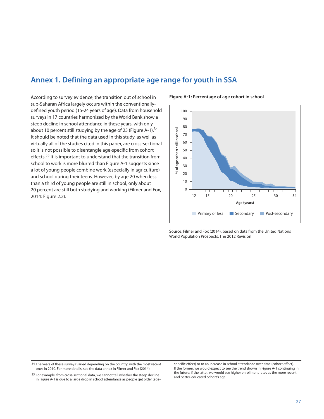## **Annex 1. Defining an appropriate age range for youth in SSA**

According to survey evidence, the transition out of school in sub-Saharan Africa largely occurs within the conventionallydefined youth period (15-24 years of age). Data from household surveys in 17 countries harmonized by the World Bank show a steep decline in school attendance in these years, with only about 10 percent still studying by the age of 25 (Figure A-1).<sup>34</sup> It should be noted that the data used in this study, as well as virtually all of the studies cited in this paper, are cross-sectional so it is not possible to disentangle age-specific from cohort effects.<sup>35</sup> It is important to understand that the transition from school to work is more blurred than Figure A-1 suggests since a lot of young people combine work (especially in agriculture) and school during their teens. However, by age 20 when less than a third of young people are still in school, only about 20 percent are still both studying and working (Filmer and Fox, 2014: Figure 2.2).

**Figure A-1: Percentage of age cohort in school**



Source: Filmer and Fox (2014), based on data from the United Nations World Population Prospects: The 2012 Revision

<sup>34</sup> The years of these surveys varied depending on the country, with the most recent ones in 2010. For more details, see the data annex in Filmer and Fox (2014).

<sup>&</sup>lt;sup>35</sup> For example, from cross-sectional data, we cannot tell whether the steep decline in Figure A-1 is due to a large drop in school attendance as people get older (age-

specific effect) or to an increase in school attendance over time (cohort effect). If the former, we would expect to see the trend shown in Figure A-1 continuing in the future; if the latter, we would see higher enrollment rates as the more recent and better-educated cohort's age.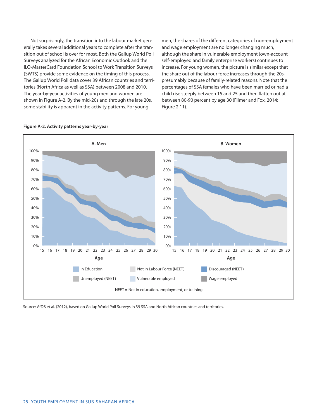Not surprisingly, the transition into the labour market generally takes several additional years to complete after the transition out of school is over for most. Both the Gallup World Poll Surveys analyzed for the African Economic Outlook and the ILO-MasterCard Foundation School to Work Transition Surveys (SWTS) provide some evidence on the timing of this process. The Gallup World Poll data cover 39 African countries and territories (North Africa as well as SSA) between 2008 and 2010. The year-by-year activities of young men and women are shown in Figure A-2. By the mid-20s and through the late 20s, some stability is apparent in the activity patterns. For young

men, the shares of the different categories of non-employment and wage employment are no longer changing much, although the share in vulnerable employment (own-account self-employed and family enterprise workers) continues to increase. For young women, the picture is similar except that the share out of the labour force increases through the 20s, presumably because of family-related reasons. Note that the percentages of SSA females who have been married or had a child rise steeply between 15 and 25 and then flatten out at between 80-90 percent by age 30 (Filmer and Fox, 2014: Figure 2.11).



#### **Figure A-2. Activity patterns year-by-year**

Source: AfDB et al. (2012), based on Gallup World Poll Surveys in 39 SSA and North African countries and territories.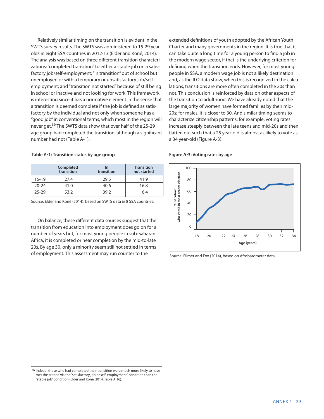Relatively similar timing on the transition is evident in the SWTS survey results. The SWTS was administered to 15-29 yearolds in eight SSA countries in 2012-13 (Elder and Koné, 2014). The analysis was based on three different transition characterizations:"completed transition"to either a stable job or a satisfactory job/self-employment; "in transition" out of school but unemployed or with a temporary or unsatisfactory job/selfemployment; and"transition not started"because of still being in school or inactive and not looking for work. This framework is interesting since it has a normative element in the sense that a transition is deemed complete if the job is defined as satisfactory by the individual and not only when someone has a "good job"in conventional terms, which most in the region will never get.<sup>36</sup> The SWTS data show that over half of the 25-29 age group had completed the transition, although a significant number had not (Table A-1).

**Table A-1: Transition states by age group**

|           | Completed<br>transition | In<br>transition | <b>Transition</b><br>not started |
|-----------|-------------------------|------------------|----------------------------------|
| $15-19$   | 27.4                    | 29.5             | 41.9                             |
| $20 - 24$ | 41.0                    | 40.6             | 16.8                             |
| 25-29     | 53.2                    | 39.2             | 6.4                              |

Source: Elder and Koné (2014), based on SWTS data in 8 SSA countries.

On balance, these different data sources suggest that the transition from education into employment does go on for a number of years but, for most young people in sub-Saharan Africa, it is completed or near completion by the mid-to-late 20s. By age 30, only a minority seem still not settled in terms of employment. This assessment may run counter to the

extended definitions of youth adopted by the African Youth Charter and many governments in the region. It is true that it can take quite a long time for a young person to find a job in the modern wage sector, if that is the underlying criterion for defining when the transition ends. However, for most young people in SSA, a modern wage job is not a likely destination and, as the ILO data show, when this is recognized in the calculations, transitions are more often completed in the 20s than not. This conclusion is reinforced by data on other aspects of the transition to adulthood. We have already noted that the large majority of women have formed families by their mid-20s; for males, it is closer to 30. And similar timing seems to characterize citizenship patterns; for example, voting rates increase steeply between the late teens and mid-20s and then flatten out such that a 25 year-old is almost as likely to vote as a 34 year-old (Figure A-3).

#### **Figure A-3: Voting rates by age**



Source: Filmer and Fox (2014), based on Afrobarometer data

<sup>36</sup> Indeed, those who had completed their transition were much more likely to have met the criteria via the "satisfactory job or self-employment" condition than the "stable job" condition (Elder and Koné, 2014: Table A.16).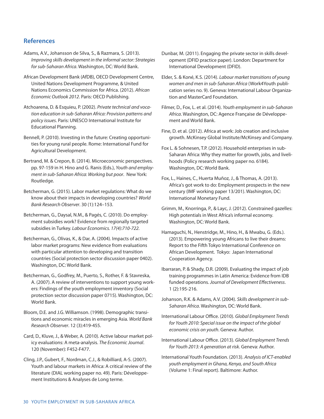## **References**

- Adams, A.V., Johansson de Silva, S., & Razmara, S. (2013). Improving skills development in the informal sector: Strategies for sub-Saharan Africa. Washington, DC: World Bank.
- African Development Bank (AfDB), OECD Development Centre, United Nations Development Programme, & United Nations Economics Commission for Africa. (2012). African Economic Outlook 2012. Paris: OECD Publishing.
- Atchoarena, D. & Esquieu, P. (2002). Private technical and vocation education in sub-Saharan Africa: Provision patterns and policy issues. Paris: UNESCO International Institute for Educational Planning.
- Bennell, P. (2010). Investing in the future: Creating opportunities for young rural people. Rome: International Fund for Agricultural Development.
- Bertrand, M. & Crepon, B. (2014). Microeconomic perspectives. pp. 97-159 in H. Hino and G. Ranis (Eds.), Youth and employment in sub-Saharan Africa: Working but poor. New York: Routledge.
- Betcherman, G. (2015). Labor market regulations: What do we know about their impacts in developing countries? World Bank Research Observer. 30 (1):124–153.
- Betcherman, G., Daysal, N.M., & Pagés, C. (2010). Do employment subsidies work? Evidence from regionally targeted subsidies in Turkey. Labour Economics. 17(4):710-722.
- Betcherman, G., Olivas, K., & Dar, A. (2004). Impacts of active labor market programs: New evidence from evaluations with particular attention to developing and transition countries (Social protection sector discussion paper 0402). Washington, DC: World Bank.
- Betcherman, G., Godfrey, M., Puerto, S., Rother, F. & Stavreska, A. (2007). A review of interventions to support young workers: Findings of the youth employment inventory (Social protection sector discussion paper 0715). Washington, DC: World Bank.
- Bloom, D.E. and J.G. Williamson. (1998). Demographic transitions and economic miracles in emerging Asia. World Bank Research Observer. 12 (3):419-455.
- Card, D., Kluve, J., & Weber, A. (2010). Active labour market policy evaluations: A meta-analysis. The Economic Journal. 120 (November): F452-F477.
- Cling, J.P., Gubert, F., Nordman, C.J., & Robilliard, A-S. (2007). Youth and labour markets in Africa: A critical review of the literature (DIAL working paper no. 49). Paris: Développement Institutions & Analyses de Long terme.
- Dunbar, M. (2011). Engaging the private sector in skills development (DFID practice paper). London: Department for International Development (DFID).
- Elder, S. & Koné, K.S. (2014). Labour market transitions of young women and men in sub-Saharan Africa (Work4Youth publication series no. 9). Geneva: International Labour Organization and MasterCard Foundation.
- Filmer, D., Fox, L. et al. (2014). Youth employment in sub-Saharan Africa. Washington, DC: Agence Française de Développement and World Bank.
- Fine, D. et al. (2012). Africa at work: Job creation and inclusive growth. McKinsey Global Institute/McKinsey and Company.
- Fox L. & Sohnesen, T.P. (2012). Household enterprises in sub-Saharan Africa: Why they matter for growth, jobs, and livelihoods (Policy research working paper no. 6184). Washington, DC: World Bank.
- Fox, L., Haines, C., Huerta Muñoz, J., & Thomas, A. (2013). Africa's got work to do: Employment prospects in the new century (IMF working paper 13/201). Washington, DC: International Monetary Fund.
- Grimm, M., Knorringa, P., & Layc, J. (2012). Constrained gazelles: High potentials in West Africa's informal economy. Washington, DC: World Bank.
- Hamaguchi, N., Henstridge, M., Hino, H., & Mwabu, G. (Eds.). (2013). Empowering young Africans to live their dreams: Report to the Fifth Tokyo International Conference on African Development. Tokyo: Japan International Cooperation Agency.
- Ibarraran, P. & Shady, D.R. (2009). Evaluating the impact of job training programmes in Latin America: Evidence from IDB funded operations. Journal of Development Effectiveness. 1 (2):195-216.
- Johanson, R.K. & Adams, A.V. (2004). Skills development in sub-Saharan Africa. Washington, DC: World Bank.
- International Labour Office. (2010). Global Employment Trends for Youth 2010: Special issue on the impact of the global economic crisis on youth. Geneva: Author.
- International Labour Office. (2013). Global Employment Trends for Youth 2013: A generation at risk. Geneva: Author.
- International Youth Foundation. (2013). Analysis of ICT-enabled youth employment in Ghana, Kenya, and South Africa (Volume 1: Final report). Baltimore: Author.